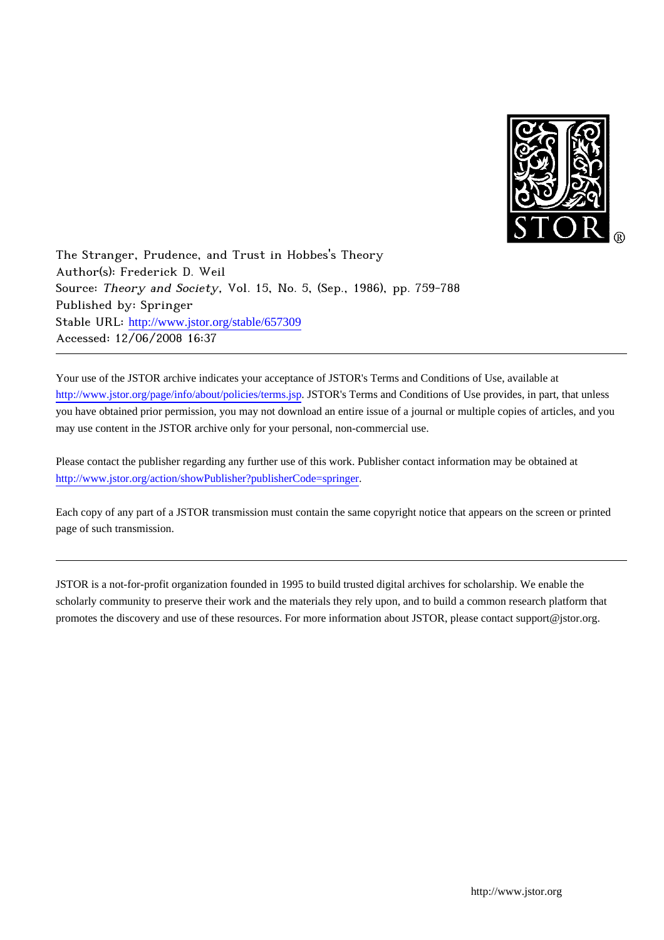

The Stranger, Prudence, and Trust in Hobbes's Theory Author(s): Frederick D. Weil Source: Theory and Society, Vol. 15, No. 5, (Sep., 1986), pp. 759-788 Published by: Springer Stable URL: [http://www.jstor.org/stable/657309](http://www.jstor.org/stable/657309?origin=JSTOR-pdf) Accessed: 12/06/2008 16:37

Your use of the JSTOR archive indicates your acceptance of JSTOR's Terms and Conditions of Use, available at <http://www.jstor.org/page/info/about/policies/terms.jsp>. JSTOR's Terms and Conditions of Use provides, in part, that unless you have obtained prior permission, you may not download an entire issue of a journal or multiple copies of articles, and you may use content in the JSTOR archive only for your personal, non-commercial use.

Please contact the publisher regarding any further use of this work. Publisher contact information may be obtained at [http://www.jstor.org/action/showPublisher?publisherCode=springer.](http://www.jstor.org/action/showPublisher?publisherCode=springer)

Each copy of any part of a JSTOR transmission must contain the same copyright notice that appears on the screen or printed page of such transmission.

JSTOR is a not-for-profit organization founded in 1995 to build trusted digital archives for scholarship. We enable the scholarly community to preserve their work and the materials they rely upon, and to build a common research platform that promotes the discovery and use of these resources. For more information about JSTOR, please contact support@jstor.org.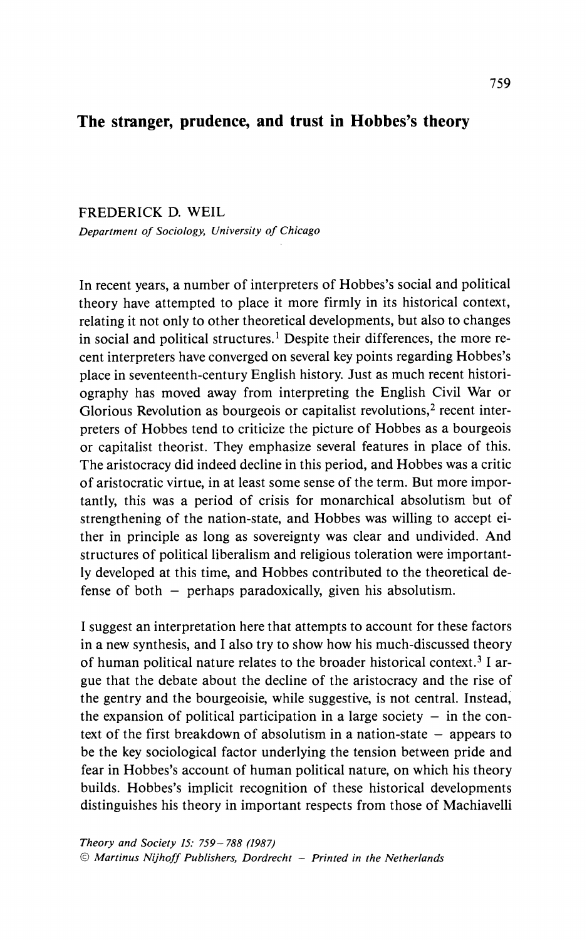# **The stranger, prudence, and trust in Hobbes's theory**

### **FREDERICK D. WEIL**

**Department of Sociology, University of Chicago** 

**In recent years, a number of interpreters of Hobbes's social and political theory have attempted to place it more firmly in its historical context, relating it not only to other theoretical developments, but also to changes in social and political structures.1 Despite their differences, the more recent interpreters have converged on several key points regarding Hobbes's place in seventeenth-century English history. Just as much recent historiography has moved away from interpreting the English Civil War or**  Glorious Revolution as bourgeois or capitalist revolutions,<sup>2</sup> recent inter**preters of Hobbes tend to criticize the picture of Hobbes as a bourgeois or capitalist theorist. They emphasize several features in place of this. The aristocracy did indeed decline in this period, and Hobbes was a critic of aristocratic virtue, in at least some sense of the term. But more importantly, this was a period of crisis for monarchical absolutism but of strengthening of the nation-state, and Hobbes was willing to accept either in principle as long as sovereignty was clear and undivided. And structures of political liberalism and religious toleration were importantly developed at this time, and Hobbes contributed to the theoretical defense of both - perhaps paradoxically, given his absolutism.** 

**I suggest an interpretation here that attempts to account for these factors in a new synthesis, and I also try to show how his much-discussed theory of human political nature relates to the broader historical context.3 I argue that the debate about the decline of the aristocracy and the rise of the gentry and the bourgeoisie, while suggestive, is not central. Instead,**  the expansion of political participation in a large society  $-$  in the context of the first breakdown of absolutism in a nation-state – appears to **be the key sociological factor underlying the tension between pride and fear in Hobbes's account of human political nature, on which his theory builds. Hobbes's implicit recognition of these historical developments distinguishes his theory in important respects from those of Machiavelli**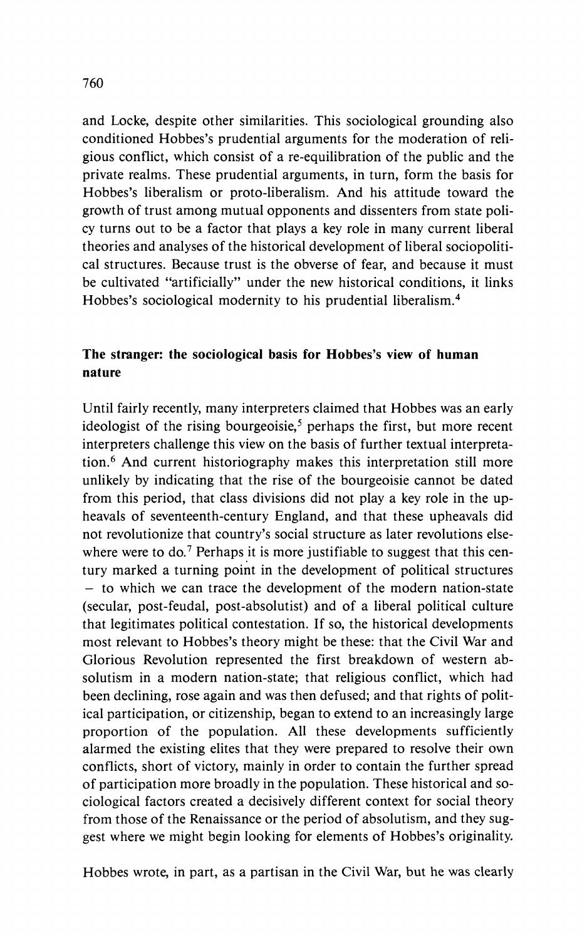**and Locke, despite other similarities. This sociological grounding also conditioned Hobbes's prudential arguments for the moderation of religious conflict, which consist of a re-equilibration of the public and the private realms. These prudential arguments, in turn, form the basis for Hobbes's liberalism or proto-liberalism. And his attitude toward the growth of trust among mutual opponents and dissenters from state policy turns out to be a factor that plays a key role in many current liberal theories and analyses of the historical development of liberal sociopolitical structures. Because trust is the obverse of fear, and because it must be cultivated "artificially" under the new historical conditions, it links Hobbes's sociological modernity to his prudential liberalism.4** 

### **The stranger: the sociological basis for Hobbes's view of human nature**

**Until fairly recently, many interpreters claimed that Hobbes was an early**  ideologist of the rising bourgeoisie,<sup>5</sup> perhaps the first, but more recent **interpreters challenge this view on the basis of further textual interpretation.6 And current historiography makes this interpretation still more unlikely by indicating that the rise of the bourgeoisie cannot be dated from this period, that class divisions did not play a key role in the upheavals of seventeenth-century England, and that these upheavals did not revolutionize that country's social structure as later revolutions else**where were to do.<sup>7</sup> Perhaps it is more justifiable to suggest that this cen**tury marked a turning point in the development of political structures - to which we can trace the development of the modern nation-state (secular, post-feudal, post-absolutist) and of a liberal political culture that legitimates political contestation. If so, the historical developments most relevant to Hobbes's theory might be these: that the Civil War and Glorious Revolution represented the first breakdown of western absolutism in a modern nation-state; that religious conflict, which had been declining, rose again and was then defused; and that rights of political participation, or citizenship, began to extend to an increasingly large proportion of the population. All these developments sufficiently alarmed the existing elites that they were prepared to resolve their own conflicts, short of victory, mainly in order to contain the further spread of participation more broadly in the population. These historical and sociological factors created a decisively different context for social theory from those of the Renaissance or the period of absolutism, and they suggest where we might begin looking for elements of Hobbes's originality.** 

**Hobbes wrote, in part, as a partisan in the Civil War, but he was clearly**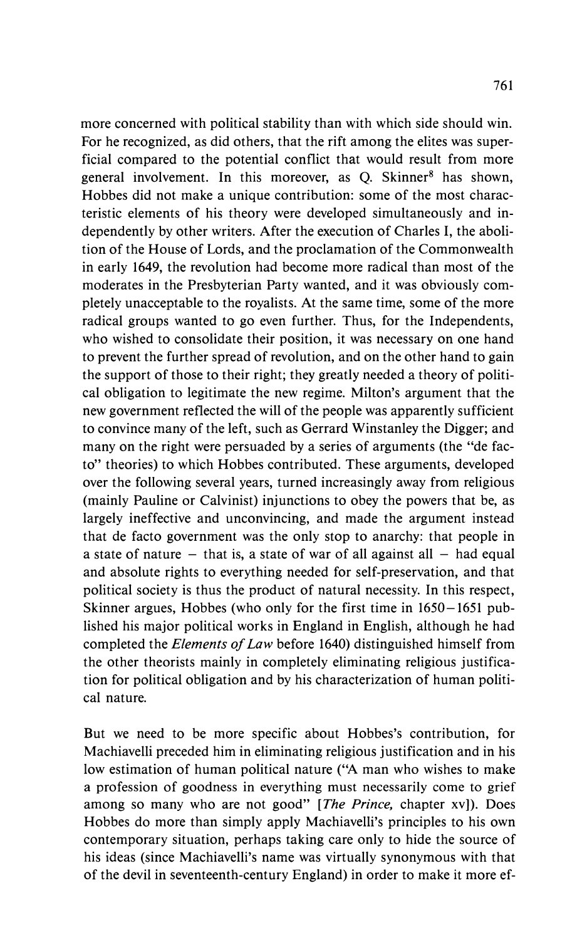**more concerned with political stability than with which side should win. For he recognized, as did others, that the rift among the elites was superficial compared to the potential conflict that would result from more**  general involvement. In this moreover, as Q. Skinner<sup>8</sup> has shown, **Hobbes did not make a unique contribution: some of the most characteristic elements of his theory were developed simultaneously and independently by other writers. After the execution of Charles I, the abolition of the House of Lords, and the proclamation of the Commonwealth in early 1649, the revolution had become more radical than most of the moderates in the Presbyterian Party wanted, and it was obviously completely unacceptable to the royalists. At the same time, some of the more radical groups wanted to go even further. Thus, for the Independents, who wished to consolidate their position, it was necessary on one hand to prevent the further spread of revolution, and on the other hand to gain the support of those to their right; they greatly needed a theory of political obligation to legitimate the new regime. Milton's argument that the new government reflected the will of the people was apparently sufficient to convince many of the left, such as Gerrard Winstanley the Digger; and many on the right were persuaded by a series of arguments (the "de facto" theories) to which Hobbes contributed. These arguments, developed over the following several years, turned increasingly away from religious (mainly Pauline or Calvinist) injunctions to obey the powers that be, as largely ineffective and unconvincing, and made the argument instead that de facto government was the only stop to anarchy: that people in**  a state of nature  $-$  that is, a state of war of all against all  $-$  had equal **and absolute rights to everything needed for self-preservation, and that political society is thus the product of natural necessity. In this respect, Skinner argues, Hobbes (who only for the first time in 1650-1651 published his major political works in England in English, although he had completed the Elements of Law before 1640) distinguished himself from the other theorists mainly in completely eliminating religious justification for political obligation and by his characterization of human political nature.** 

**But we need to be more specific about Hobbes's contribution, for Machiavelli preceded him in eliminating religious justification and in his low estimation of human political nature ("A man who wishes to make a profession of goodness in everything must necessarily come to grief among so many who are not good" [The Prince, chapter xv]). Does Hobbes do more than simply apply Machiavelli's principles to his own contemporary situation, perhaps taking care only to hide the source of his ideas (since Machiavelli's name was virtually synonymous with that of the devil in seventeenth-century England) in order to make it more ef-**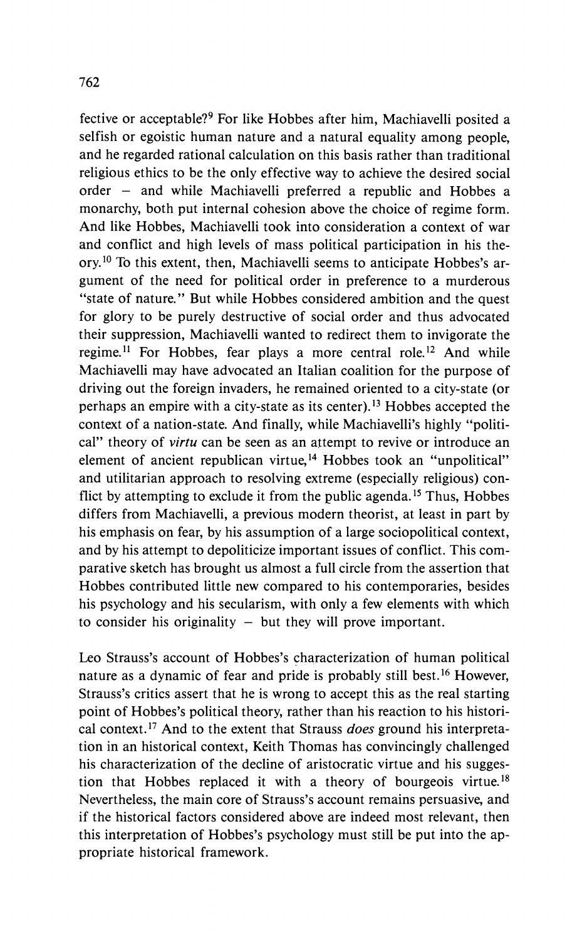**fective or acceptable?9 For like Hobbes after him, Machiavelli posited a selfish or egoistic human nature and a natural equality among people, and he regarded rational calculation on this basis rather than traditional religious ethics to be the only effective way to achieve the desired social order - and while Machiavelli preferred a republic and Hobbes a monarchy, both put internal cohesion above the choice of regime form. And like Hobbes, Machiavelli took into consideration a context of war and conflict and high levels of mass political participation in his theory.10 To this extent, then, Machiavelli seems to anticipate Hobbes's argument of the need for political order in preference to a murderous "state of nature." But while Hobbes considered ambition and the quest for glory to be purely destructive of social order and thus advocated their suppression, Machiavelli wanted to redirect them to invigorate the regime.11 For Hobbes, fear plays a more central role.12 And while Machiavelli may have advocated an Italian coalition for the purpose of driving out the foreign invaders, he remained oriented to a city-state (or perhaps an empire with a city-state as its center).13 Hobbes accepted the context of a nation-state. And finally, while Machiavelli's highly "political" theory of virtu can be seen as an attempt to revive or introduce an element of ancient republican virtue,14 Hobbes took an "unpolitical" and utilitarian approach to resolving extreme (especially religious) conflict by attempting to exclude it from the public agenda.15 Thus, Hobbes differs from Machiavelli, a previous modern theorist, at least in part by his emphasis on fear, by his assumption of a large sociopolitical context, and by his attempt to depoliticize important issues of conflict. This comparative sketch has brought us almost a full circle from the assertion that Hobbes contributed little new compared to his contemporaries, besides his psychology and his secularism, with only a few elements with which**  to consider his originality – but they will prove important.

**Leo Strauss's account of Hobbes's characterization of human political nature as a dynamic of fear and pride is probably still best.16 However, Strauss's critics assert that he is wrong to accept this as the real starting point of Hobbes's political theory, rather than his reaction to his historical context.17 And to the extent that Strauss does ground his interpretation in an historical context, Keith Thomas has convincingly challenged his characterization of the decline of aristocratic virtue and his suggestion that Hobbes replaced it with a theory of bourgeois virtue.18 Nevertheless, the main core of Strauss's account remains persuasive, and if the historical factors considered above are indeed most relevant, then this interpretation of Hobbes's psychology must still be put into the appropriate historical framework.**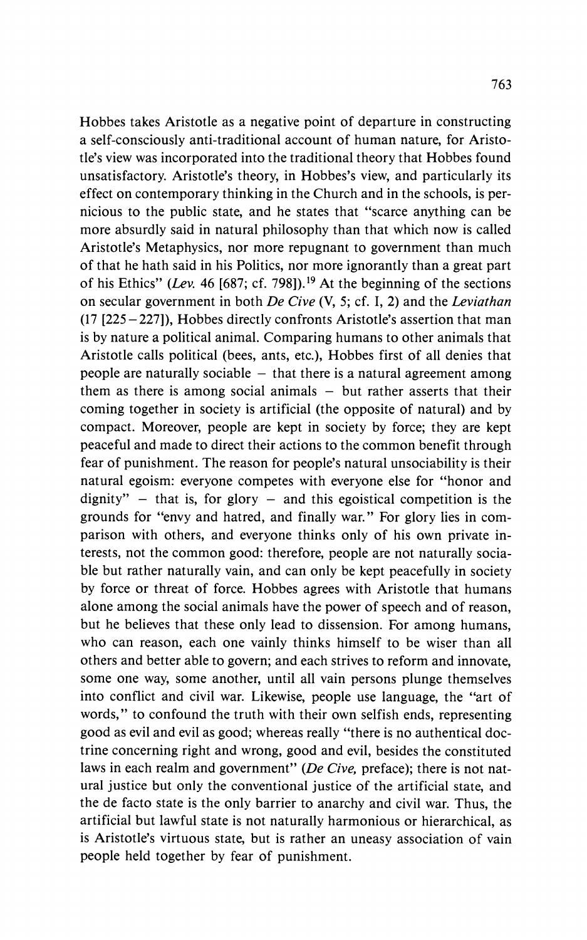**Hobbes takes Aristotle as a negative point of departure in constructing a self-consciously anti-traditional account of human nature, for Aristotle's view was incorporated into the traditional theory that Hobbes found unsatisfactory. Aristotle's theory, in Hobbes's view, and particularly its effect on contemporary thinking in the Church and in the schools, is pernicious to the public state, and he states that "scarce anything can be more absurdly said in natural philosophy than that which now is called Aristotle's Metaphysics, nor more repugnant to government than much of that he hath said in his Politics, nor more ignorantly than a great part of his Ethics" (Lev. 46 [687; cf. 798]).19 At the beginning of the sections on secular government in both De Cive (V, 5; cf. I, 2) and the Leviathan (17 [225-227]), Hobbes directly confronts Aristotle's assertion that man is by nature a political animal. Comparing humans to other animals that Aristotle calls political (bees, ants, etc.), Hobbes first of all denies that people are naturally sociable - that there is a natural agreement among them as there is among social animals - but rather asserts that their coming together in society is artificial (the opposite of natural) and by compact. Moreover, people are kept in society by force; they are kept peaceful and made to direct their actions to the common benefit through fear of punishment. The reason for people's natural unsociability is their natural egoism: everyone competes with everyone else for "honor and**   $dignity" - that is, for glory - and this egoistical competition is the$ **grounds for "envy and hatred, and finally war." For glory lies in comparison with others, and everyone thinks only of his own private interests, not the common good: therefore, people are not naturally sociable but rather naturally vain, and can only be kept peacefully in society by force or threat of force. Hobbes agrees with Aristotle that humans alone among the social animals have the power of speech and of reason, but he believes that these only lead to dissension. For among humans, who can reason, each one vainly thinks himself to be wiser than all others and better able to govern; and each strives to reform and innovate, some one way, some another, until all vain persons plunge themselves into conflict and civil war. Likewise, people use language, the "art of words," to confound the truth with their own selfish ends, representing good as evil and evil as good; whereas really "there is no authentical doctrine concerning right and wrong, good and evil, besides the constituted**  laws in each realm and government" (De Cive, preface); there is not nat**ural justice but only the conventional justice of the artificial state, and the de facto state is the only barrier to anarchy and civil war. Thus, the artificial but lawful state is not naturally harmonious or hierarchical, as is Aristotle's virtuous state, but is rather an uneasy association of vain people held together by fear of punishment.**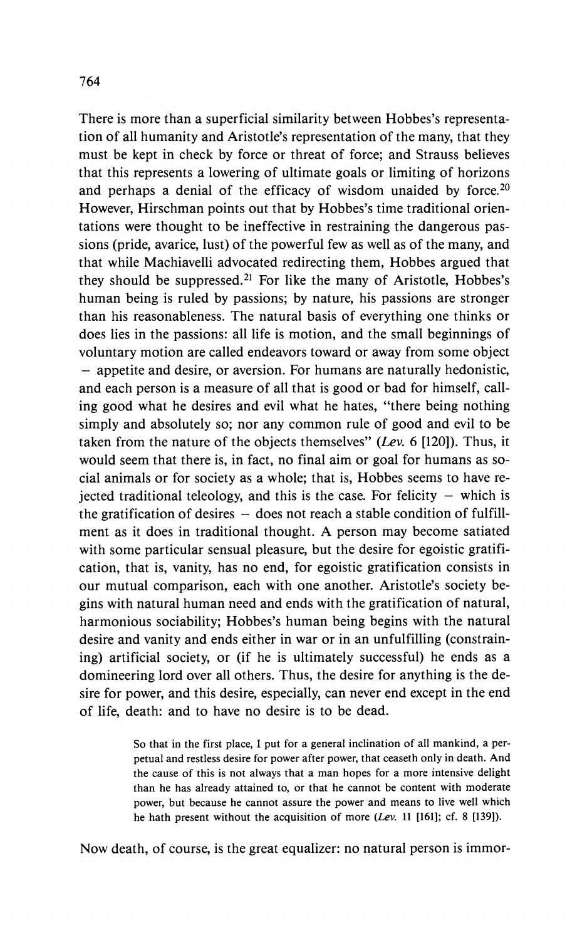**There is more than a superficial similarity between Hobbes's representation of all humanity and Aristotle's representation of the many, that they must be kept in check by force or threat of force; and Strauss believes that this represents a lowering of ultimate goals or limiting of horizons and perhaps a denial of the efficacy of wisdom unaided by force.20 However, Hirschman points out that by Hobbes's time traditional orientations were thought to be ineffective in restraining the dangerous passions (pride, avarice, lust) of the powerful few as well as of the many, and that while Machiavelli advocated redirecting them, Hobbes argued that they should be suppressed.21 For like the many of Aristotle, Hobbes's human being is ruled by passions; by nature, his passions are stronger than his reasonableness. The natural basis of everything one thinks or does lies in the passions: all life is motion, and the small beginnings of voluntary motion are called endeavors toward or away from some object - appetite and desire, or aversion. For humans are naturally hedonistic, and each person is a measure of all that is good or bad for himself, calling good what he desires and evil what he hates, "there being nothing simply and absolutely so; nor any common rule of good and evil to be taken from the nature of the objects themselves" (Lev. 6 [120]). Thus, it would seem that there is, in fact, no final aim or goal for humans as social animals or for society as a whole; that is, Hobbes seems to have re-** $\beta$  jected traditional teleology, and this is the case. For felicity  $-$  which is the gratification of desires - does not reach a stable condition of fulfill**ment as it does in traditional thought. A person may become satiated with some particular sensual pleasure, but the desire for egoistic gratification, that is, vanity, has no end, for egoistic gratification consists in our mutual comparison, each with one another. Aristotle's society begins with natural human need and ends with the gratification of natural, harmonious sociability; Hobbes's human being begins with the natural desire and vanity and ends either in war or in an unfulfilling (constraining) artificial society, or (if he is ultimately successful) he ends as a domineering lord over all others. Thus, the desire for anything is the desire for power, and this desire, especially, can never end except in the end of life, death: and to have no desire is to be dead.** 

> **So that in the first place, I put for a general inclination of all mankind, a perpetual and restless desire for power after power, that ceaseth only in death. And the cause of this is not always that a man hopes for a more intensive delight than he has already attained to, or that he cannot be content with moderate power, but because he cannot assure the power and means to live well which he hath present without the acquisition of more (Lev. 11 [161]; cf. 8 [139]).**

**Now death, of course, is the great equalizer: no natural person is immor-**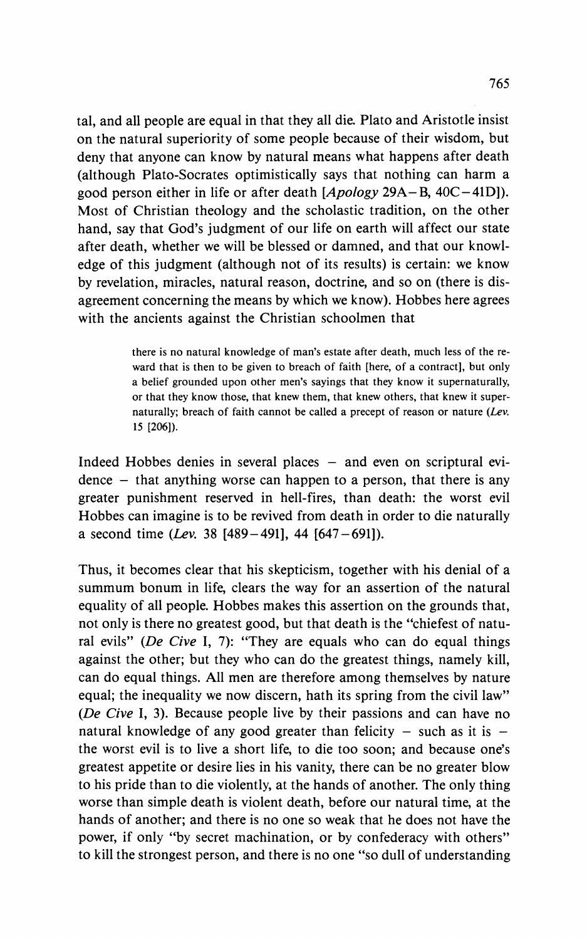**tal, and all people are equal in that they all die. Plato and Aristotle insist on the natural superiority of some people because of their wisdom, but deny that anyone can know by natural means what happens after death (although Plato-Socrates optimistically says that nothing can harm a good person either in life or after death [Apology 29A-B, 40C-41D]). Most of Christian theology and the scholastic tradition, on the other hand, say that God's judgment of our life on earth will affect our state after death, whether we will be blessed or damned, and that our knowledge of this judgment (although not of its results) is certain: we know by revelation, miracles, natural reason, doctrine, and so on (there is disagreement concerning the means by which we know). Hobbes here agrees with the ancients against the Christian schoolmen that** 

> **there is no natural knowledge of man's estate after death, much less of the reward that is then to be given to breach of faith [here, of a contract], but only a belief grounded upon other men's sayings that they know it supernaturally, or that they know those, that knew them, that knew others, that knew it supernaturally; breach of faith cannot be called a precept of reason or nature (Lev. 15 [206]).**

Indeed Hobbes denies in several places – and even on scriptural evi**dence - that anything worse can happen to a person, that there is any greater punishment reserved in hell-fires, than death: the worst evil Hobbes can imagine is to be revived from death in order to die naturally a second time (Lev. 38 [489-491], 44 [647-691]).** 

**Thus, it becomes clear that his skepticism, together with his denial of a summum bonum in life, clears the way for an assertion of the natural equality of all people. Hobbes makes this assertion on the grounds that, not only is there no greatest good, but that death is the "chiefest of natural evils" (De Cive I, 7): "They are equals who can do equal things against the other; but they who can do the greatest things, namely kill, can do equal things. All men are therefore among themselves by nature equal; the inequality we now discern, hath its spring from the civil law" (De Cive I, 3). Because people live by their passions and can have no**  natural knowledge of any good greater than felicity  $-$  such as it is  $$ **the worst evil is to live a short life, to die too soon; and because one's greatest appetite or desire lies in his vanity, there can be no greater blow to his pride than to die violently, at the hands of another. The only thing worse than simple death is violent death, before our natural time, at the hands of another; and there is no one so weak that he does not have the power, if only "by secret machination, or by confederacy with others" to kill the strongest person, and there is no one "so dull of understanding**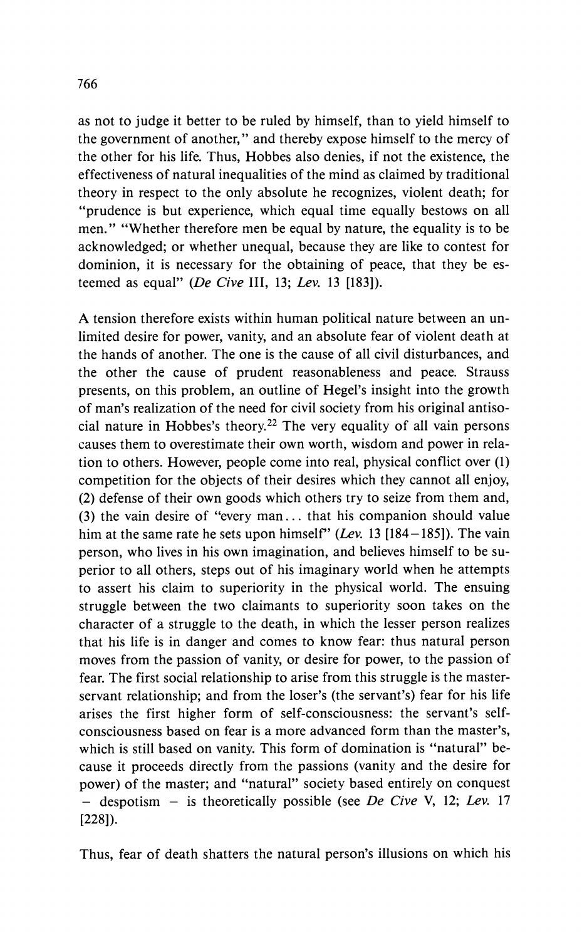**as not to judge it better to be ruled by himself, than to yield himself to the government of another," and thereby expose himself to the mercy of the other for his life. Thus, Hobbes also denies, if not the existence, the effectiveness of natural inequalities of the mind as claimed by traditional theory in respect to the only absolute he recognizes, violent death; for "prudence is but experience, which equal time equally bestows on all men." "Whether therefore men be equal by nature, the equality is to be acknowledged; or whether unequal, because they are like to contest for dominion, it is necessary for the obtaining of peace, that they be esteemed as equal" (De Cive III, 13; Lev. 13 [183]).** 

**A tension therefore exists within human political nature between an unlimited desire for power, vanity, and an absolute fear of violent death at the hands of another. The one is the cause of all civil disturbances, and the other the cause of prudent reasonableness and peace. Strauss presents, on this problem, an outline of Hegel's insight into the growth of man's realization of the need for civil society from his original antisocial nature in Hobbes's theory.22 The very equality of all vain persons causes them to overestimate their own worth, wisdom and power in relation to others. However, people come into real, physical conflict over (1) competition for the objects of their desires which they cannot all enjoy, (2) defense of their own goods which others try to seize from them and, (3) the vain desire of "every man... that his companion should value him at the same rate he sets upon himself" (Lev. 13 [184-185]). The vain person, who lives in his own imagination, and believes himself to be superior to all others, steps out of his imaginary world when he attempts to assert his claim to superiority in the physical world. The ensuing struggle between the two claimants to superiority soon takes on the character of a struggle to the death, in which the lesser person realizes that his life is in danger and comes to know fear: thus natural person moves from the passion of vanity, or desire for power, to the passion of fear. The first social relationship to arise from this struggle is the masterservant relationship; and from the loser's (the servant's) fear for his life arises the first higher form of self-consciousness: the servant's selfconsciousness based on fear is a more advanced form than the master's, which is still based on vanity. This form of domination is "natural" because it proceeds directly from the passions (vanity and the desire for power) of the master; and "natural" society based entirely on conquest - despotism - is theoretically possible (see De Cive V, 12; Lev. 17 [228]).** 

**Thus, fear of death shatters the natural person's illusions on which his**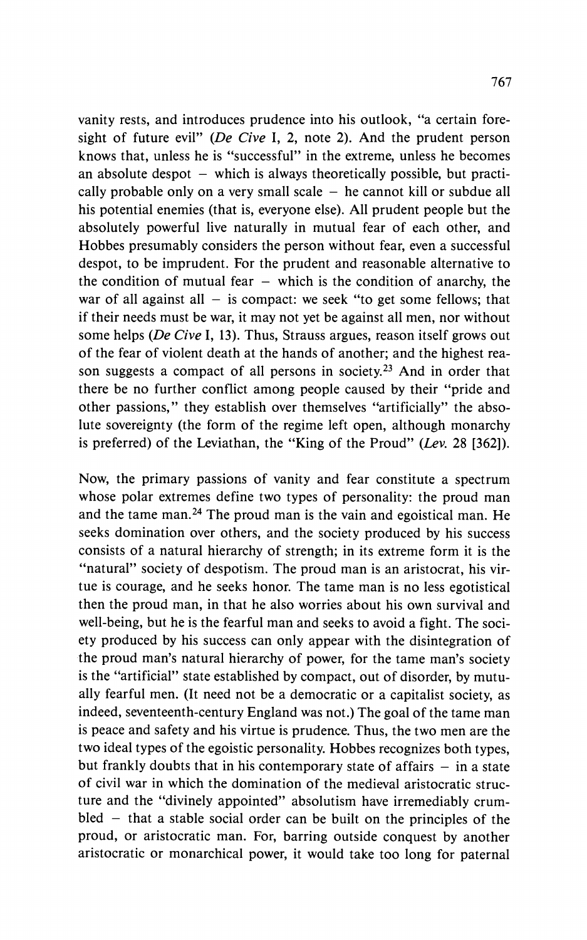**vanity rests, and introduces prudence into his outlook, "a certain foresight of future evil" (De Cive I, 2, note 2). And the prudent person knows that, unless he is "successful" in the extreme, unless he becomes**  an absolute despot – which is always theoretically possible, but practically probable only on a very small scale  $-$  he cannot kill or subdue all **his potential enemies (that is, everyone else). All prudent people but the absolutely powerful live naturally in mutual fear of each other, and Hobbes presumably considers the person without fear, even a successful despot, to be imprudent. For the prudent and reasonable alternative to**  the condition of mutual fear  $-$  which is the condition of anarchy, the war of all against all  $-$  is compact: we seek "to get some fellows; that **if their needs must be war, it may not yet be against all men, nor without some helps (De Cive I, 13). Thus, Strauss argues, reason itself grows out of the fear of violent death at the hands of another; and the highest reason suggests a compact of all persons in society.23 And in order that there be no further conflict among people caused by their "pride and other passions," they establish over themselves "artificially" the absolute sovereignty (the form of the regime left open, although monarchy is preferred) of the Leviathan, the "King of the Proud" (Lev. 28 [362]).** 

**Now, the primary passions of vanity and fear constitute a spectrum whose polar extremes define two types of personality: the proud man and the tame man.24 The proud man is the vain and egoistical man. He seeks domination over others, and the society produced by his success consists of a natural hierarchy of strength; in its extreme form it is the**  "natural" society of despotism. The proud man is an aristocrat, his vir**tue is courage, and he seeks honor. The tame man is no less egotistical then the proud man, in that he also worries about his own survival and well-being, but he is the fearful man and seeks to avoid a fight. The society produced by his success can only appear with the disintegration of the proud man's natural hierarchy of power, for the tame man's society is the "artificial" state established by compact, out of disorder, by mutually fearful men. (It need not be a democratic or a capitalist society, as indeed, seventeenth-century England was not.) The goal of the tame man is peace and safety and his virtue is prudence. Thus, the two men are the two ideal types of the egoistic personality. Hobbes recognizes both types,**  but frankly doubts that in his contemporary state of affairs  $-$  in a state **of civil war in which the domination of the medieval aristocratic structure and the "divinely appointed" absolutism have irremediably crumbled - that a stable social order can be built on the principles of the proud, or aristocratic man. For, barring outside conquest by another aristocratic or monarchical power, it would take too long for paternal**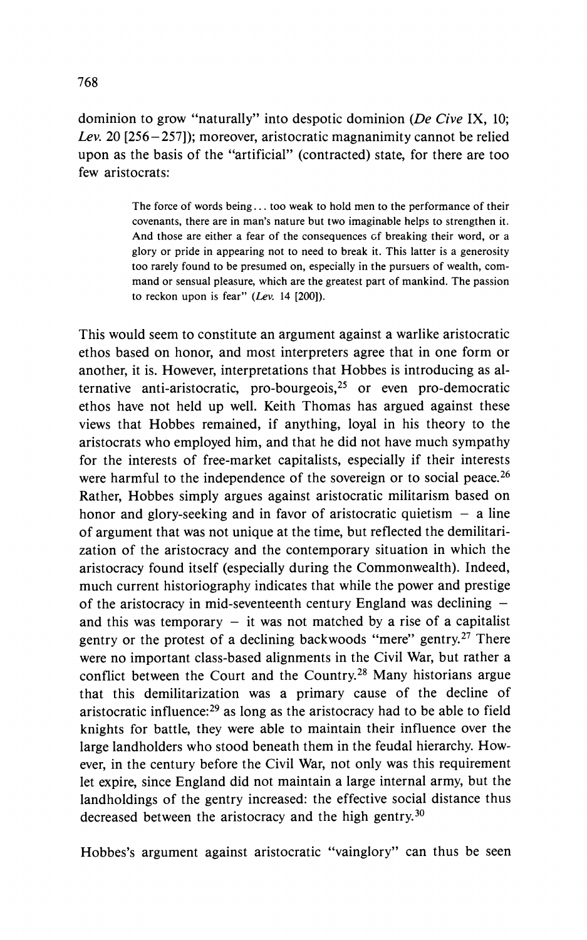**dominion to grow "naturally" into despotic dominion (De Cive IX, 10; Lev. 20 [256-257]); moreover, aristocratic magnanimity cannot be relied upon as the basis of the "artificial" (contracted) state, for there are too few aristocrats:** 

> **The force of words being... too weak to hold men to the performance of their covenants, there are in man's nature but two imaginable helps to strengthen it. And those are either a fear of the consequences of breaking their word, or a glory or pride in appearing not to need to break it. This latter is a generosity too rarely found to be presumed on, especially in the pursuers of wealth, command or sensual pleasure, which are the greatest part of mankind. The passion to reckon upon is fear" (Lev. 14 [200]).**

**This would seem to constitute an argument against a warlike aristocratic ethos based on honor, and most interpreters agree that in one form or another, it is. However, interpretations that Hobbes is introducing as alternative anti-aristocratic, pro-bourgeois,25 or even pro-democratic ethos have not held up well. Keith Thomas has argued against these views that Hobbes remained, if anything, loyal in his theory to the aristocrats who employed him, and that he did not have much sympathy for the interests of free-market capitalists, especially if their interests were harmful to the independence of the sovereign or to social peace.26 Rather, Hobbes simply argues against aristocratic militarism based on**  honor and glory-seeking and in favor of aristocratic quietism  $-$  a line **of argument that was not unique at the time, but reflected the demilitarization of the aristocracy and the contemporary situation in which the aristocracy found itself (especially during the Commonwealth). Indeed, much current historiography indicates that while the power and prestige of the aristocracy in mid-seventeenth century England was declining**  and this was temporary  $-$  it was not matched by a rise of a capitalist **gentry or the protest of a declining backwoods "mere" gentry.27 There were no important class-based alignments in the Civil War, but rather a conflict between the Court and the Country.28 Many historians argue that this demilitarization was a primary cause of the decline of aristocratic influence:29 as long as the aristocracy had to be able to field knights for battle, they were able to maintain their influence over the large landholders who stood beneath them in the feudal hierarchy. However, in the century before the Civil War, not only was this requirement let expire, since England did not maintain a large internal army, but the landholdings of the gentry increased: the effective social distance thus decreased between the aristocracy and the high gentry.30** 

**Hobbes's argument against aristocratic "vainglory" can thus be seen**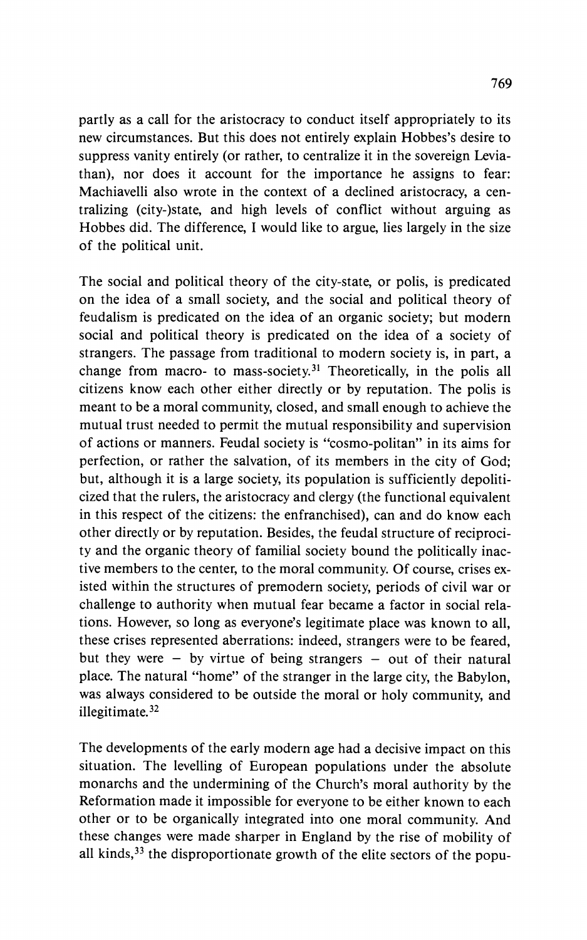**partly as a call for the aristocracy to conduct itself appropriately to its new circumstances. But this does not entirely explain Hobbes's desire to suppress vanity entirely (or rather, to centralize it in the sovereign Leviathan), nor does it account for the importance he assigns to fear: Machiavelli also wrote in the context of a declined aristocracy, a centralizing (city-)state, and high levels of conflict without arguing as Hobbes did. The difference, I would like to argue, lies largely in the size of the political unit.** 

**The social and political theory of the city-state, or polis, is predicated on the idea of a small society, and the social and political theory of feudalism is predicated on the idea of an organic society; but modern social and political theory is predicated on the idea of a society of strangers. The passage from traditional to modern society is, in part, a**  change from macro- to mass-society.<sup>31</sup> Theoretically, in the polis all **citizens know each other either directly or by reputation. The polis is meant to be a moral community, closed, and small enough to achieve the mutual trust needed to permit the mutual responsibility and supervision of actions or manners. Feudal society is "cosmo-politan" in its aims for perfection, or rather the salvation, of its members in the city of God; but, although it is a large society, its population is sufficiently depoliticized that the rulers, the aristocracy and clergy (the functional equivalent in this respect of the citizens: the enfranchised), can and do know each other directly or by reputation. Besides, the feudal structure of reciprocity and the organic theory of familial society bound the politically inactive members to the center, to the moral community. Of course, crises existed within the structures of premodern society, periods of civil war or challenge to authority when mutual fear became a factor in social relations. However, so long as everyone's legitimate place was known to all, these crises represented aberrations: indeed, strangers were to be feared,**  but they were  $-$  by virtue of being strangers  $-$  out of their natural **place. The natural "home" of the stranger in the large city, the Babylon, was always considered to be outside the moral or holy community, and illegitimate.32** 

**The developments of the early modern age had a decisive impact on this situation. The levelling of European populations under the absolute monarchs and the undermining of the Church's moral authority by the Reformation made it impossible for everyone to be either known to each other or to be organically integrated into one moral community. And these changes were made sharper in England by the rise of mobility of all kinds,33 the disproportionate growth of the elite sectors of the popu-**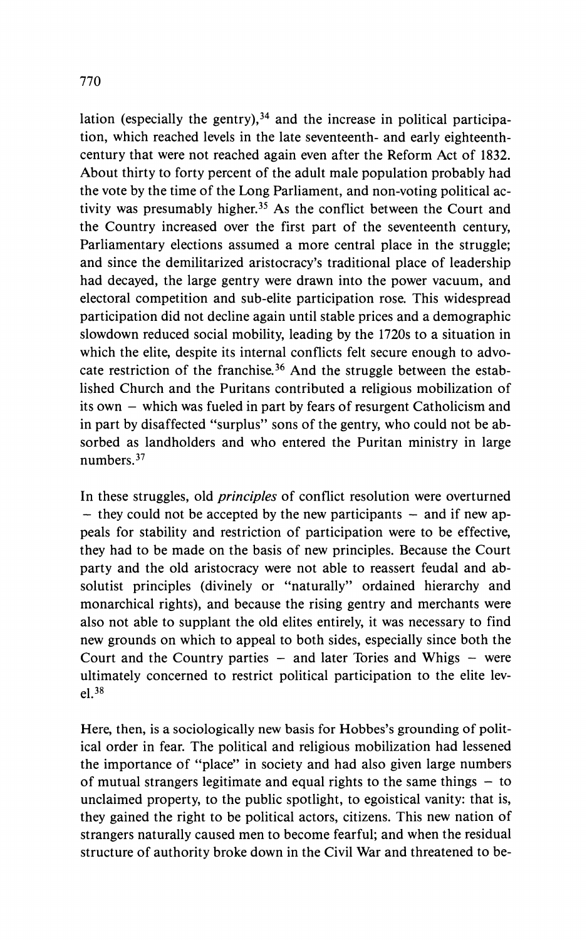lation (especially the gentry),<sup>34</sup> and the increase in political participa**tion, which reached levels in the late seventeenth- and early eighteenthcentury that were not reached again even after the Reform Act of 1832. About thirty to forty percent of the adult male population probably had the vote by the time of the Long Parliament, and non-voting political activity was presumably higher.35 As the conflict between the Court and the Country increased over the first part of the seventeenth century, Parliamentary elections assumed a more central place in the struggle; and since the demilitarized aristocracy's traditional place of leadership had decayed, the large gentry were drawn into the power vacuum, and electoral competition and sub-elite participation rose. This widespread participation did not decline again until stable prices and a demographic slowdown reduced social mobility, leading by the 1720s to a situation in which the elite, despite its internal conflicts felt secure enough to advocate restriction of the franchise.36 And the struggle between the established Church and the Puritans contributed a religious mobilization of its own - which was fueled in part by fears of resurgent Catholicism and in part by disaffected "surplus" sons of the gentry, who could not be absorbed as landholders and who entered the Puritan ministry in large numbers.37** 

**In these struggles, old principles of conflict resolution were overturned**  - they could not be accepted by the new participants - and if new ap**peals for stability and restriction of participation were to be effective, they had to be made on the basis of new principles. Because the Court party and the old aristocracy were not able to reassert feudal and absolutist principles (divinely or "naturally" ordained hierarchy and monarchical rights), and because the rising gentry and merchants were also not able to supplant the old elites entirely, it was necessary to find new grounds on which to appeal to both sides, especially since both the Court and the Country parties - and later Tories and Whigs - were ultimately concerned to restrict political participation to the elite level.38** 

**Here, then, is a sociologically new basis for Hobbes's grounding of political order in fear. The political and religious mobilization had lessened the importance of "place" in society and had also given large numbers**  of mutual strangers legitimate and equal rights to the same things  $-$  to **unclaimed property, to the public spotlight, to egoistical vanity: that is, they gained the right to be political actors, citizens. This new nation of strangers naturally caused men to become fearful; and when the residual structure of authority broke down in the Civil War and threatened to be-**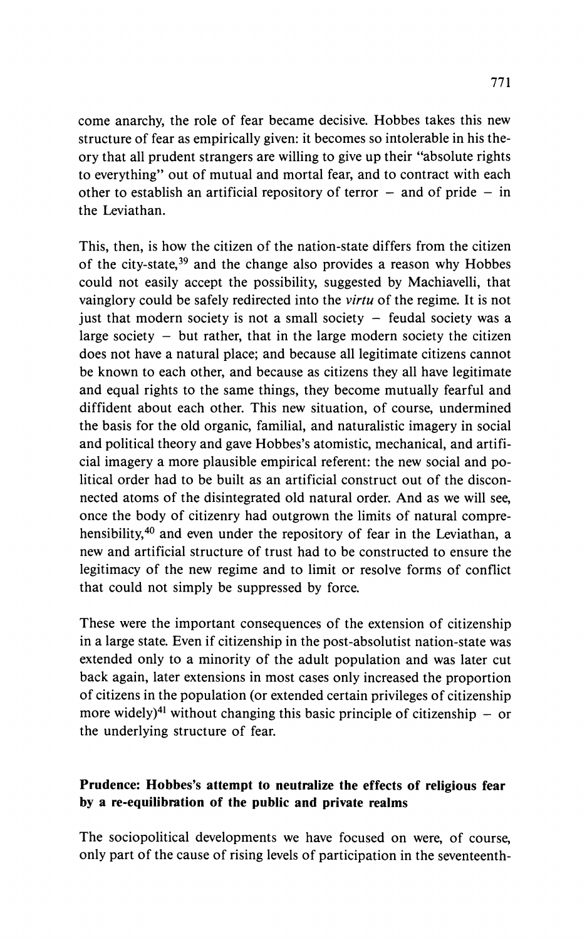**come anarchy, the role of fear became decisive. Hobbes takes this new structure of fear as empirically given: it becomes so intolerable in his theory that all prudent strangers are willing to give up their "absolute rights to everything" out of mutual and mortal fear, and to contract with each**  other to establish an artificial repository of terror  $-$  and of pride  $-$  in **the Leviathan.** 

**This, then, is how the citizen of the nation-state differs from the citizen of the city-state,39 and the change also provides a reason why Hobbes could not easily accept the possibility, suggested by Machiavelli, that vainglory could be safely redirected into the virtu of the regime. It is not just that modern society is not a small society - feudal society was a large society - but rather, that in the large modern society the citizen does not have a natural place; and because all legitimate citizens cannot be known to each other, and because as citizens they all have legitimate and equal rights to the same things, they become mutually fearful and diffident about each other. This new situation, of course, undermined the basis for the old organic, familial, and naturalistic imagery in social and political theory and gave Hobbes's atomistic, mechanical, and artificial imagery a more plausible empirical referent: the new social and political order had to be built as an artificial construct out of the disconnected atoms of the disintegrated old natural order. And as we will see, once the body of citizenry had outgrown the limits of natural comprehensibility,40 and even under the repository of fear in the Leviathan, a new and artificial structure of trust had to be constructed to ensure the legitimacy of the new regime and to limit or resolve forms of conflict that could not simply be suppressed by force.** 

**These were the important consequences of the extension of citizenship in a large state. Even if citizenship in the post-absolutist nation-state was extended only to a minority of the adult population and was later cut back again, later extensions in most cases only increased the proportion of citizens in the population (or extended certain privileges of citizenship**  more widely)<sup>41</sup> without changing this basic principle of citizenship  $-$  or **the underlying structure of fear.** 

## **Prudence: Hobbes's attempt to neutralize the effects of religious fear by a re-equilibration of the public and private realms**

**The sociopolitical developments we have focused on were, of course, only part of the cause of rising levels of participation in the seventeenth-**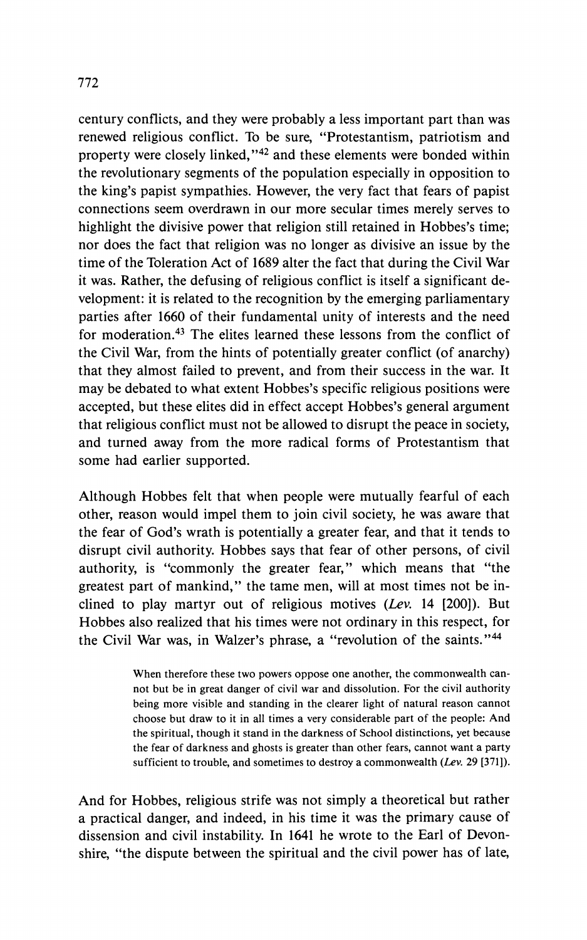**century conflicts, and they were probably a less important part than was renewed religious conflict. To be sure, "Protestantism, patriotism and property were closely linked,"42 and these elements were bonded within the revolutionary segments of the population especially in opposition to the king's papist sympathies. However, the very fact that fears of papist connections seem overdrawn in our more secular times merely serves to highlight the divisive power that religion still retained in Hobbes's time; nor does the fact that religion was no longer as divisive an issue by the time of the Toleration Act of 1689 alter the fact that during the Civil War it was. Rather, the defusing of religious conflict is itself a significant development: it is related to the recognition by the emerging parliamentary parties after 1660 of their fundamental unity of interests and the need for moderation.43 The elites learned these lessons from the conflict of the Civil War, from the hints of potentially greater conflict (of anarchy) that they almost failed to prevent, and from their success in the war. It may be debated to what extent Hobbes's specific religious positions were accepted, but these elites did in effect accept Hobbes's general argument that religious conflict must not be allowed to disrupt the peace in society, and turned away from the more radical forms of Protestantism that some had earlier supported.** 

**Although Hobbes felt that when people were mutually fearful of each other, reason would impel them to join civil society, he was aware that the fear of God's wrath is potentially a greater fear, and that it tends to disrupt civil authority. Hobbes says that fear of other persons, of civil authority, is "commonly the greater fear," which means that "the greatest part of mankind," the tame men, will at most times not be inclined to play martyr out of religious motives (Lev. 14 [200]). But Hobbes also realized that his times were not ordinary in this respect, for the Civil War was, in Walzer's phrase, a "revolution of the saints."44** 

> **When therefore these two powers oppose one another, the commonwealth cannot but be in great danger of civil war and dissolution. For the civil authority being more visible and standing in the clearer light of natural reason cannot choose but draw to it in all times a very considerable part of the people: And the spiritual, though it stand in the darkness of School distinctions, yet because the fear of darkness and ghosts is greater than other fears, cannot want a party sufficient to trouble, and sometimes to destroy a commonwealth (Lev. 29 [371]).**

**And for Hobbes, religious strife was not simply a theoretical but rather a practical danger, and indeed, in his time it was the primary cause of dissension and civil instability. In 1641 he wrote to the Earl of Devonshire, "the dispute between the spiritual and the civil power has of late,**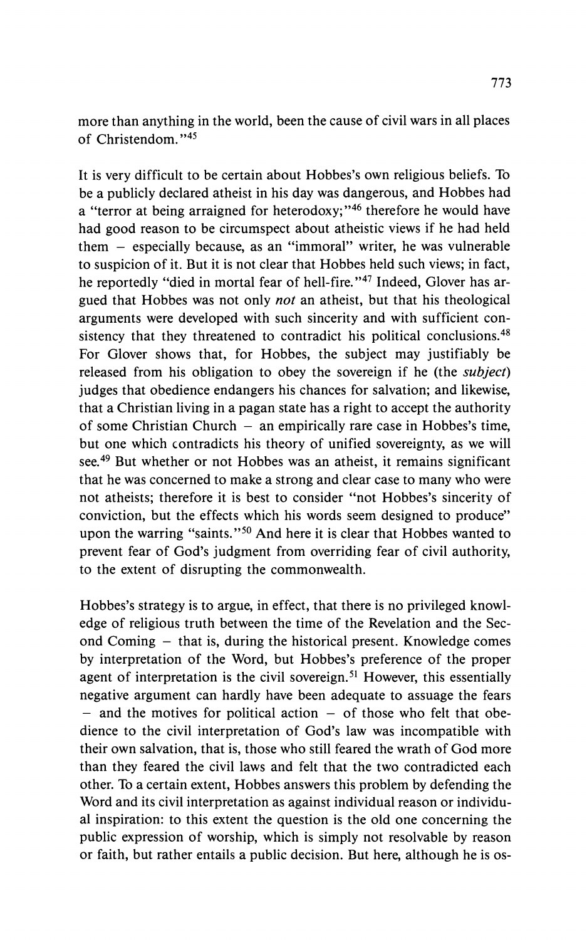**more than anything in the world, been the cause of civil wars in all places of Christendom."45** 

**It is very difficult to be certain about Hobbes's own religious beliefs. To be a publicly declared atheist in his day was dangerous, and Hobbes had a "terror at being arraigned for heterodoxy;"46 therefore he would have had good reason to be circumspect about atheistic views if he had held them - especially because, as an "immoral" writer, he was vulnerable to suspicion of it. But it is not clear that Hobbes held such views; in fact, he reportedly "died in mortal fear of hell-fire."47 Indeed, Glover has argued that Hobbes was not only not an atheist, but that his theological arguments were developed with such sincerity and with sufficient consistency that they threatened to contradict his political conclusions.48 For Glover shows that, for Hobbes, the subject may justifiably be released from his obligation to obey the sovereign if he (the subject) judges that obedience endangers his chances for salvation; and likewise, that a Christian living in a pagan state has a right to accept the authority of some Christian Church - an empirically rare case in Hobbes's time, but one which contradicts his theory of unified sovereignty, as we will see.49 But whether or not Hobbes was an atheist, it remains significant that he was concerned to make a strong and clear case to many who were not atheists; therefore it is best to consider "not Hobbes's sincerity of conviction, but the effects which his words seem designed to produce" upon the warring "saints."50 And here it is clear that Hobbes wanted to prevent fear of God's judgment from overriding fear of civil authority, to the extent of disrupting the commonwealth.** 

**Hobbes's strategy is to argue, in effect, that there is no privileged knowledge of religious truth between the time of the Revelation and the Second Coming - that is, during the historical present. Knowledge comes by interpretation of the Word, but Hobbes's preference of the proper agent of interpretation is the civil sovereign.51 However, this essentially negative argument can hardly have been adequate to assuage the fears - and the motives for political action - of those who felt that obedience to the civil interpretation of God's law was incompatible with their own salvation, that is, those who still feared the wrath of God more than they feared the civil laws and felt that the two contradicted each other. To a certain extent, Hobbes answers this problem by defending the Word and its civil interpretation as against individual reason or individual inspiration: to this extent the question is the old one concerning the public expression of worship, which is simply not resolvable by reason or faith, but rather entails a public decision. But here, although he is os-**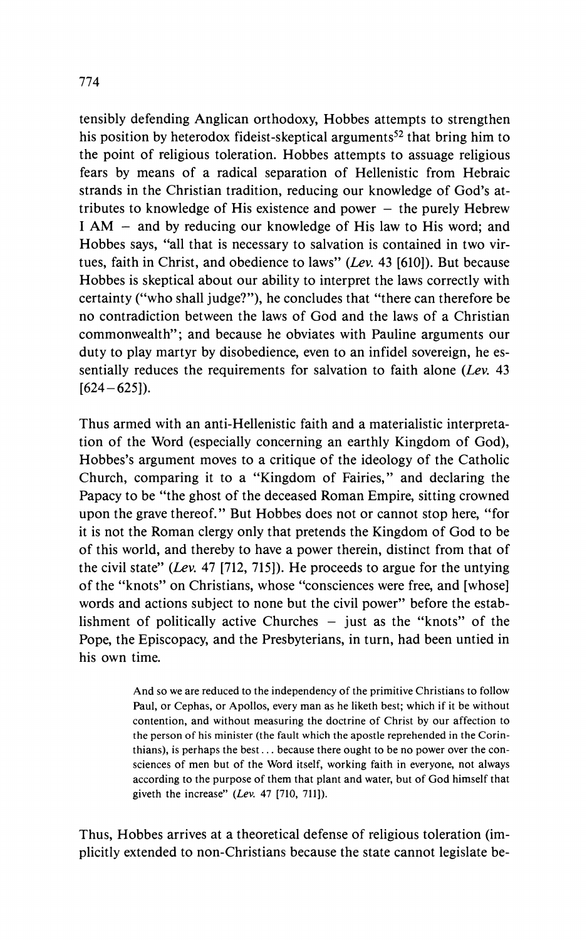**tensibly defending Anglican orthodoxy, Hobbes attempts to strengthen**  his position by heterodox fideist-skeptical arguments<sup>52</sup> that bring him to **the point of religious toleration. Hobbes attempts to assuage religious fears by means of a radical separation of Hellenistic from Hebraic strands in the Christian tradition, reducing our knowledge of God's attributes to knowledge of His existence and power - the purely Hebrew I AM - and by reducing our knowledge of His law to His word; and Hobbes says, "all that is necessary to salvation is contained in two virtues, faith in Christ, and obedience to laws" (Lev. 43 [610]). But because Hobbes is skeptical about our ability to interpret the laws correctly with certainty ("who shall judge?"), he concludes that "there can therefore be no contradiction between the laws of God and the laws of a Christian commonwealth"; and because he obviates with Pauline arguments our duty to play martyr by disobedience, even to an infidel sovereign, he essentially reduces the requirements for salvation to faith alone (Lev. 43 [624-625]).** 

**Thus armed with an anti-Hellenistic faith and a materialistic interpretation of the Word (especially concerning an earthly Kingdom of God), Hobbes's argument moves to a critique of the ideology of the Catholic Church, comparing it to a "Kingdom of Fairies," and declaring the Papacy to be "the ghost of the deceased Roman Empire, sitting crowned upon the grave thereof." But Hobbes does not or cannot stop here, "for it is not the Roman clergy only that pretends the Kingdom of God to be of this world, and thereby to have a power therein, distinct from that of the civil state" (Lev. 47 [712, 715]). He proceeds to argue for the untying of the "knots" on Christians, whose "consciences were free, and [whose] words and actions subject to none but the civil power" before the establishment of politically active Churches - just as the "knots" of the Pope, the Episcopacy, and the Presbyterians, in turn, had been untied in his own time.** 

> **And so we are reduced to the independency of the primitive Christians to follow Paul, or Cephas, or Apollos, every man as he liketh best; which if it be without contention, and without measuring the doctrine of Christ by our affection to the person of his minister (the fault which the apostle reprehended in the Corinthians), is perhaps the best... because there ought to be no power over the consciences of men but of the Word itself, working faith in everyone, not always according to the purpose of them that plant and water, but of God himself that giveth the increase" (Lev. 47 [710, 711]).**

**Thus, Hobbes arrives at a theoretical defense of religious toleration (implicitly extended to non-Christians because the state cannot legislate be-**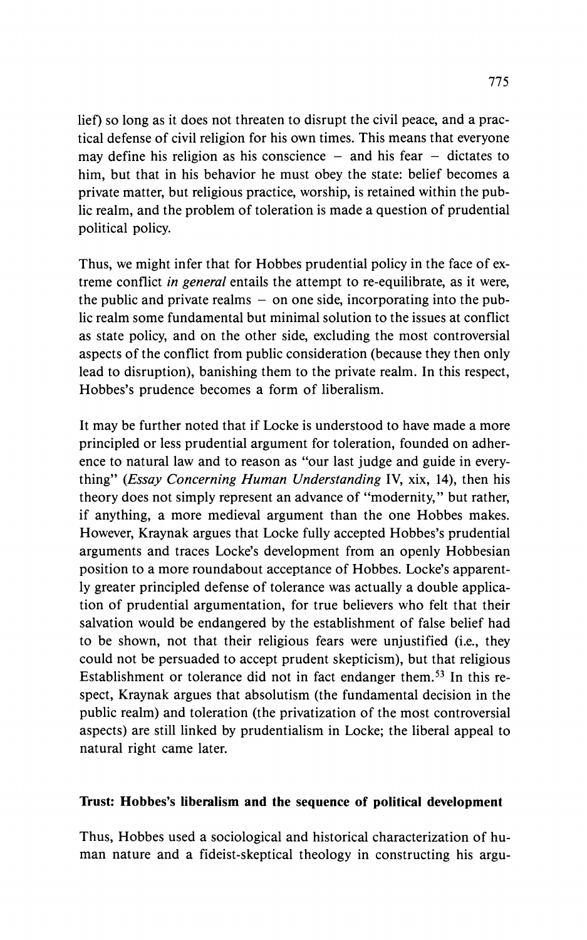**lief) so long as it does not threaten to disrupt the civil peace, and a practical defense of civil religion for his own times. This means that everyone**  may define his religion as his conscience – and his fear – dictates to **him, but that in his behavior he must obey the state: belief becomes a private matter, but religious practice, worship, is retained within the public realm, and the problem of toleration is made a question of prudential political policy.** 

**Thus, we might infer that for Hobbes prudential policy in the face of extreme conflict in general entails the attempt to re-equilibrate, as it were, the public and private realms - on one side, incorporating into the public realm some fundamental but minimal solution to the issues at conflict as state policy, and on the other side, excluding the most controversial aspects of the conflict from public consideration (because they then only lead to disruption), banishing them to the private realm. In this respect, Hobbes's prudence becomes a form of liberalism.** 

**It may be further noted that if Locke is understood to have made a more principled or less prudential argument for toleration, founded on adherence to natural law and to reason as "our last judge and guide in everything" (Essay Concerning Human Understanding IV, xix, 14), then his theory does not simply represent an advance of "modernity," but rather, if anything, a more medieval argument than the one Hobbes makes. However, Kraynak argues that Locke fully accepted Hobbes's prudential arguments and traces Locke's development from an openly Hobbesian position to a more roundabout acceptance of Hobbes. Locke's apparently greater principled defense of tolerance was actually a double application of prudential argumentation, for true believers who felt that their salvation would be endangered by the establishment of false belief had to be shown, not that their religious fears were unjustified (i.e., they could not be persuaded to accept prudent skepticism), but that religious Establishment or tolerance did not in fact endanger them.53 In this respect, Kraynak argues that absolutism (the fundamental decision in the public realm) and toleration (the privatization of the most controversial aspects) are still linked by prudentialism in Locke; the liberal appeal to natural right came later.** 

### **Trust: Hobbes's liberalism and the sequence of political development**

**Thus, Hobbes used a sociological and historical characterization of human nature and a fideist-skeptical theology in constructing his argu-**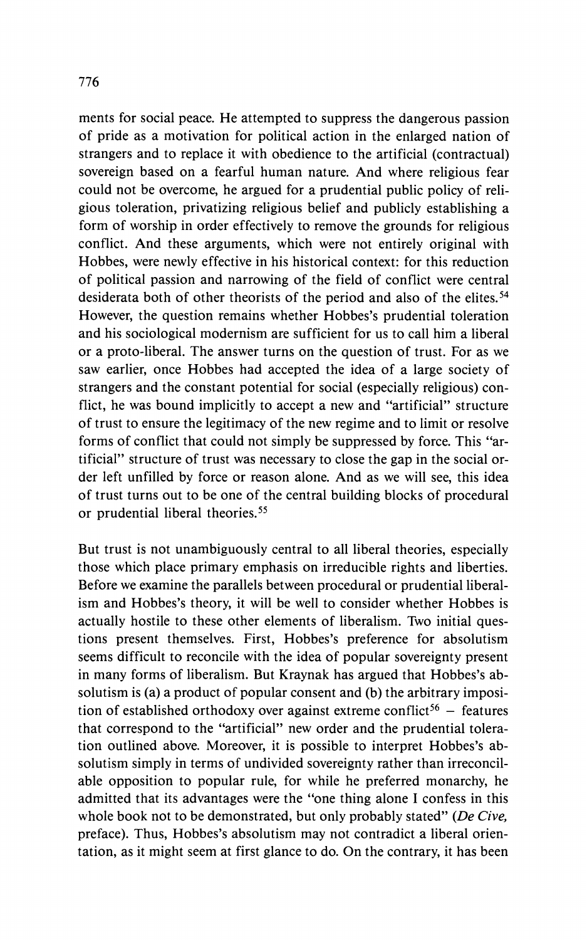**ments for social peace. He attempted to suppress the dangerous passion of pride as a motivation for political action in the enlarged nation of strangers and to replace it with obedience to the artificial (contractual) sovereign based on a fearful human nature. And where religious fear could not be overcome, he argued for a prudential public policy of religious toleration, privatizing religious belief and publicly establishing a form of worship in order effectively to remove the grounds for religious conflict. And these arguments, which were not entirely original with Hobbes, were newly effective in his historical context: for this reduction of political passion and narrowing of the field of conflict were central desiderata both of other theorists of the period and also of the elites.54 However, the question remains whether Hobbes's prudential toleration and his sociological modernism are sufficient for us to call him a liberal or a proto-liberal. The answer turns on the question of trust. For as we saw earlier, once Hobbes had accepted the idea of a large society of strangers and the constant potential for social (especially religious) conflict, he was bound implicitly to accept a new and "artificial" structure of trust to ensure the legitimacy of the new regime and to limit or resolve forms of conflict that could not simply be suppressed by force. This "artificial" structure of trust was necessary to close the gap in the social order left unfilled by force or reason alone. And as we will see, this idea of trust turns out to be one of the central building blocks of procedural or prudential liberal theories.55** 

**But trust is not unambiguously central to all liberal theories, especially those which place primary emphasis on irreducible rights and liberties. Before we examine the parallels between procedural or prudential liberalism and Hobbes's theory, it will be well to consider whether Hobbes is actually hostile to these other elements of liberalism. Two initial questions present themselves. First, Hobbes's preference for absolutism seems difficult to reconcile with the idea of popular sovereignty present in many forms of liberalism. But Kraynak has argued that Hobbes's absolutism is (a) a product of popular consent and (b) the arbitrary imposi**tion of established orthodoxy over against extreme conflict<sup>56</sup> – features **that correspond to the "artificial" new order and the prudential toleration outlined above. Moreover, it is possible to interpret Hobbes's absolutism simply in terms of undivided sovereignty rather than irreconcilable opposition to popular rule, for while he preferred monarchy, he admitted that its advantages were the "one thing alone I confess in this whole book not to be demonstrated, but only probably stated" (De Cive, preface). Thus, Hobbes's absolutism may not contradict a liberal orientation, as it might seem at first glance to do. On the contrary, it has been**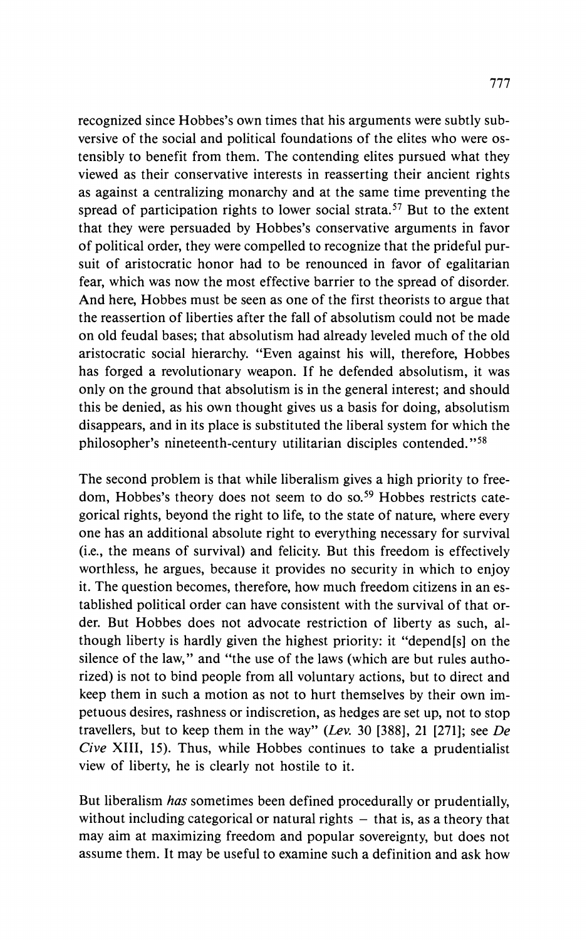**recognized since Hobbes's own times that his arguments were subtly subversive of the social and political foundations of the elites who were ostensibly to benefit from them. The contending elites pursued what they viewed as their conservative interests in reasserting their ancient rights as against a centralizing monarchy and at the same time preventing the spread of participation rights to lower social strata.57 But to the extent that they were persuaded by Hobbes's conservative arguments in favor of political order, they were compelled to recognize that the prideful pursuit of aristocratic honor had to be renounced in favor of egalitarian fear, which was now the most effective barrier to the spread of disorder. And here, Hobbes must be seen as one of the first theorists to argue that the reassertion of liberties after the fall of absolutism could not be made on old feudal bases; that absolutism had already leveled much of the old aristocratic social hierarchy. "Even against his will, therefore, Hobbes has forged a revolutionary weapon. If he defended absolutism, it was only on the ground that absolutism is in the general interest; and should this be denied, as his own thought gives us a basis for doing, absolutism disappears, and in its place is substituted the liberal system for which the philosopher's nineteenth-century utilitarian disciples contended."58** 

**The second problem is that while liberalism gives a high priority to freedom, Hobbes's theory does not seem to do so.59 Hobbes restricts categorical rights, beyond the right to life, to the state of nature, where every one has an additional absolute right to everything necessary for survival (i.e., the means of survival) and felicity. But this freedom is effectively worthless, he argues, because it provides no security in which to enjoy it. The question becomes, therefore, how much freedom citizens in an established political order can have consistent with the survival of that order. But Hobbes does not advocate restriction of liberty as such, although liberty is hardly given the highest priority: it "depend[s] on the silence of the law," and "the use of the laws (which are but rules authorized) is not to bind people from all voluntary actions, but to direct and keep them in such a motion as not to hurt themselves by their own impetuous desires, rashness or indiscretion, as hedges are set up, not to stop travellers, but to keep them in the way" (Lev. 30 [388], 21 [271]; see De Cive XIII, 15). Thus, while Hobbes continues to take a prudentialist view of liberty, he is clearly not hostile to it.** 

**But liberalism has sometimes been defined procedurally or prudentially,**  without including categorical or natural rights  $-$  that is, as a theory that **may aim at maximizing freedom and popular sovereignty, but does not assume them. It may be useful to examine such a definition and ask how**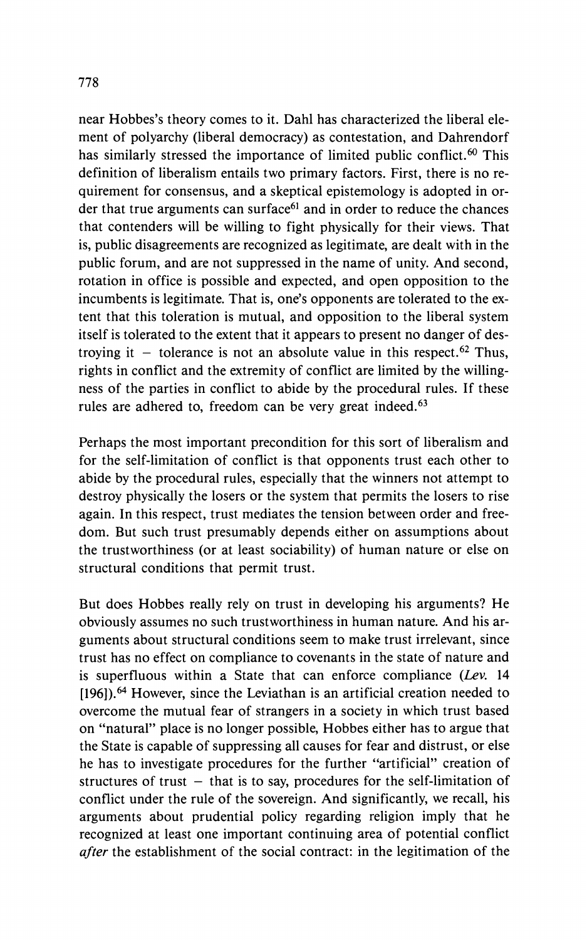**near Hobbes's theory comes to it. Dahl has characterized the liberal element of polyarchy (liberal democracy) as contestation, and Dahrendorf has similarly stressed the importance of limited public conflict.60 This definition of liberalism entails two primary factors. First, there is no requirement for consensus, and a skeptical epistemology is adopted in or**der that true arguments can surface<sup>61</sup> and in order to reduce the chances **that contenders will be willing to fight physically for their views. That is, public disagreements are recognized as legitimate, are dealt with in the public forum, and are not suppressed in the name of unity. And second, rotation in office is possible and expected, and open opposition to the incumbents is legitimate. That is, one's opponents are tolerated to the extent that this toleration is mutual, and opposition to the liberal system itself is tolerated to the extent that it appears to present no danger of des**troying it  $-$  tolerance is not an absolute value in this respect.<sup>62</sup> Thus, **rights in conflict and the extremity of conflict are limited by the willingness of the parties in conflict to abide by the procedural rules. If these rules are adhered to, freedom can be very great indeed.63** 

**Perhaps the most important precondition for this sort of liberalism and for the self-limitation of conflict is that opponents trust each other to abide by the procedural rules, especially that the winners not attempt to destroy physically the losers or the system that permits the losers to rise again. In this respect, trust mediates the tension between order and freedom. But such trust presumably depends either on assumptions about the trustworthiness (or at least sociability) of human nature or else on structural conditions that permit trust.** 

**But does Hobbes really rely on trust in developing his arguments? He obviously assumes no such trustworthiness in human nature. And his arguments about structural conditions seem to make trust irrelevant, since trust has no effect on compliance to covenants in the state of nature and is superfluous within a State that can enforce compliance (Lev. 14 [196]).64 However, since the Leviathan is an artificial creation needed to overcome the mutual fear of strangers in a society in which trust based on "natural" place is no longer possible, Hobbes either has to argue that the State is capable of suppressing all causes for fear and distrust, or else he has to investigate procedures for the further "artificial" creation of structures of trust - that is to say, procedures for the self-limitation of conflict under the rule of the sovereign. And significantly, we recall, his arguments about prudential policy regarding religion imply that he recognized at least one important continuing area of potential conflict after the establishment of the social contract: in the legitimation of the**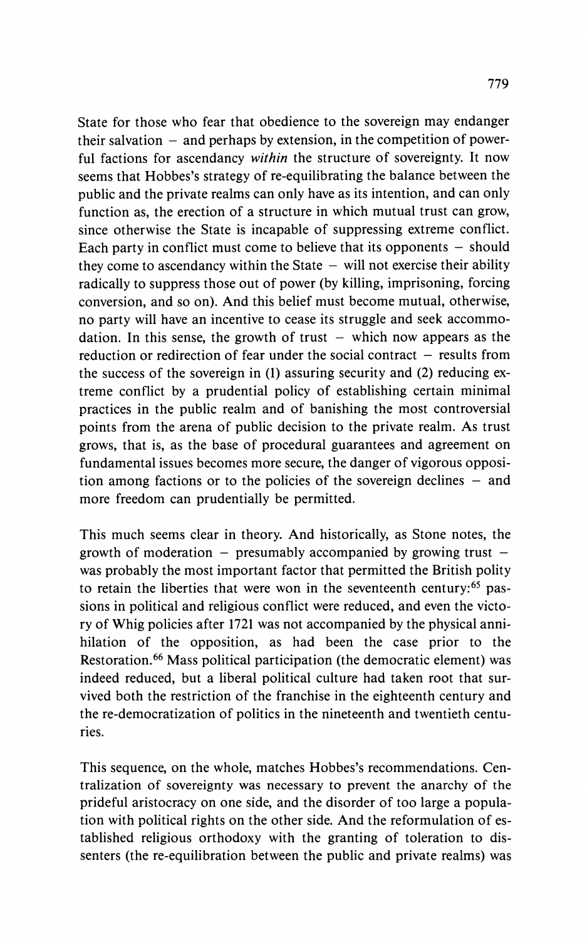**State for those who fear that obedience to the sovereign may endanger their salvation - and perhaps by extension, in the competition of powerful factions for ascendancy within the structure of sovereignty. It now seems that Hobbes's strategy of re-equilibrating the balance between the public and the private realms can only have as its intention, and can only function as, the erection of a structure in which mutual trust can grow, since otherwise the State is incapable of suppressing extreme conflict.**  Each party in conflict must come to believe that its opponents - should they come to ascendancy within the State  $-$  will not exercise their ability **radically to suppress those out of power (by killing, imprisoning, forcing conversion, and so on). And this belief must become mutual, otherwise, no party will have an incentive to cease its struggle and seek accommo**dation. In this sense, the growth of trust  $-$  which now appears as the reduction or redirection of fear under the social contract - results from **the success of the sovereign in (1) assuring security and (2) reducing extreme conflict by a prudential policy of establishing certain minimal practices in the public realm and of banishing the most controversial points from the arena of public decision to the private realm. As trust grows, that is, as the base of procedural guarantees and agreement on fundamental issues becomes more secure, the danger of vigorous opposition among factions or to the policies of the sovereign declines - and more freedom can prudentially be permitted.** 

**This much seems clear in theory. And historically, as Stone notes, the growth of moderation - presumably accompanied by growing trust was probably the most important factor that permitted the British polity to retain the liberties that were won in the seventeenth century:65 passions in political and religious conflict were reduced, and even the victory of Whig policies after 1721 was not accompanied by the physical annihilation of the opposition, as had been the case prior to the Restoration.66 Mass political participation (the democratic element) was indeed reduced, but a liberal political culture had taken root that survived both the restriction of the franchise in the eighteenth century and the re-democratization of politics in the nineteenth and twentieth centuries.** 

**This sequence, on the whole, matches Hobbes's recommendations. Centralization of sovereignty was necessary to prevent the anarchy of the prideful aristocracy on one side, and the disorder of too large a population with political rights on the other side. And the reformulation of established religious orthodoxy with the granting of toleration to dissenters (the re-equilibration between the public and private realms) was**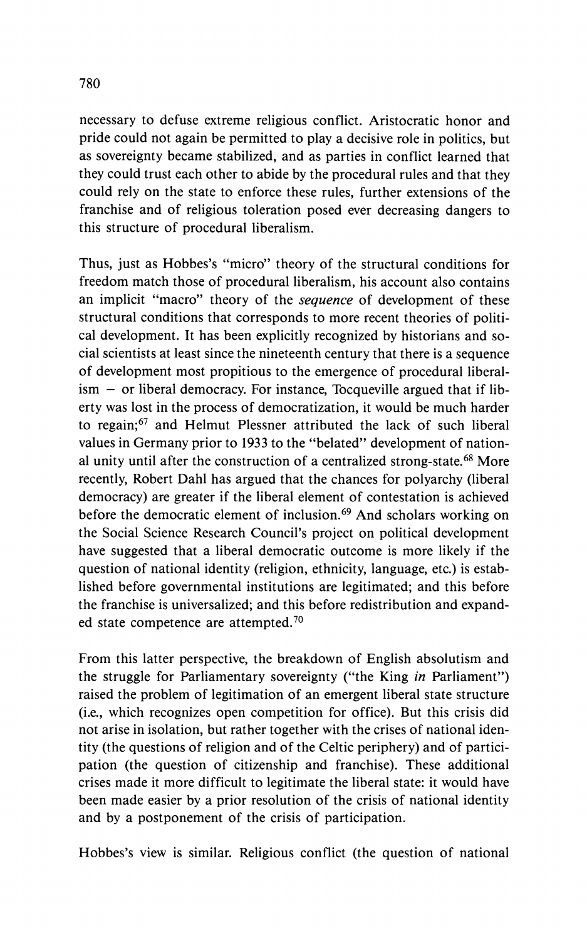**necessary to defuse extreme religious conflict. Aristocratic honor and pride could not again be permitted to play a decisive role in politics, but as sovereignty became stabilized, and as parties in conflict learned that they could trust each other to abide by the procedural rules and that they could rely on the state to enforce these rules, further extensions of the franchise and of religious toleration posed ever decreasing dangers to this structure of procedural liberalism.** 

**Thus, just as Hobbes's "micro" theory of the structural conditions for freedom match those of procedural liberalism, his account also contains an implicit "macro" theory of the sequence of development of these structural conditions that corresponds to more recent theories of political development. It has been explicitly recognized by historians and social scientists at least since the nineteenth century that there is a sequence of development most propitious to the emergence of procedural liberalism - or liberal democracy. For instance, Tocqueville argued that if liberty was lost in the process of democratization, it would be much harder to regain;67 and Helmut Plessner attributed the lack of such liberal values in Germany prior to 1933 to the "belated" development of national unity until after the construction of a centralized strong-state.68 More recently, Robert Dahl has argued that the chances for polyarchy (liberal democracy) are greater if the liberal element of contestation is achieved before the democratic element of inclusion.69 And scholars working on the Social Science Research Council's project on political development have suggested that a liberal democratic outcome is more likely if the question of national identity (religion, ethnicity, language, etc.) is established before governmental institutions are legitimated; and this before the franchise is universalized; and this before redistribution and expanded state competence are attempted.70** 

**From this latter perspective, the breakdown of English absolutism and the struggle for Parliamentary sovereignty ("the King in Parliament") raised the problem of legitimation of an emergent liberal state structure (i.e., which recognizes open competition for office). But this crisis did not arise in isolation, but rather together with the crises of national identity (the questions of religion and of the Celtic periphery) and of participation (the question of citizenship and franchise). These additional crises made it more difficult to legitimate the liberal state: it would have been made easier by a prior resolution of the crisis of national identity and by a postponement of the crisis of participation.** 

**Hobbes's view is similar. Religious conflict (the question of national**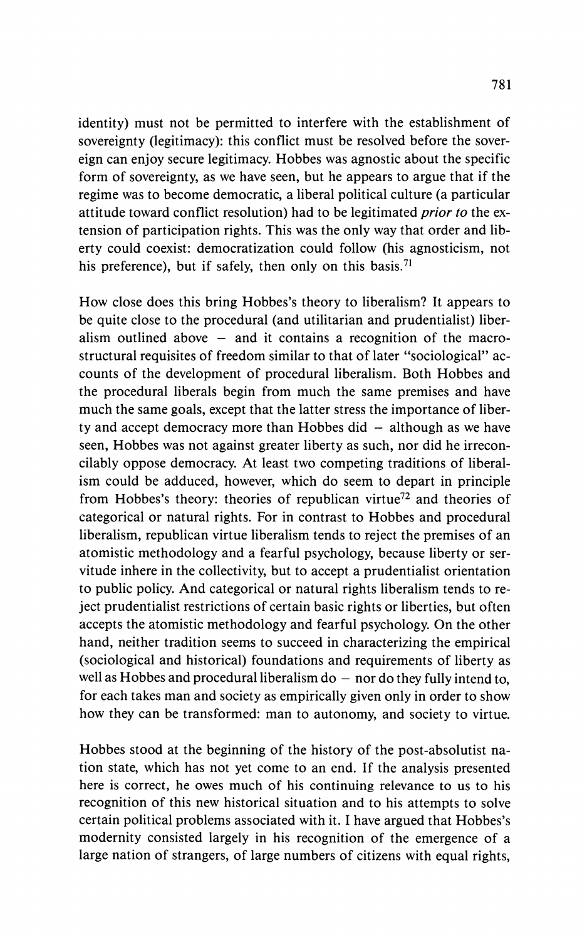**identity) must not be permitted to interfere with the establishment of sovereignty (legitimacy): this conflict must be resolved before the sovereign can enjoy secure legitimacy. Hobbes was agnostic about the specific form of sovereignty, as we have seen, but he appears to argue that if the regime was to become democratic, a liberal political culture (a particular attitude toward conflict resolution) had to be legitimated prior to the extension of participation rights. This was the only way that order and liberty could coexist: democratization could follow (his agnosticism, not his preference), but if safely, then only on this basis.71** 

**How close does this bring Hobbes's theory to liberalism? It appears to be quite close to the procedural (and utilitarian and prudentialist) liberalism outlined above - and it contains a recognition of the macrostructural requisites of freedom similar to that of later "sociological" accounts of the development of procedural liberalism. Both Hobbes and the procedural liberals begin from much the same premises and have much the same goals, except that the latter stress the importance of liber**ty and accept democracy more than Hobbes did - although as we have **seen, Hobbes was not against greater liberty as such, nor did he irreconcilably oppose democracy. At least two competing traditions of liberalism could be adduced, however, which do seem to depart in principle from Hobbes's theory: theories of republican virtue72 and theories of categorical or natural rights. For in contrast to Hobbes and procedural liberalism, republican virtue liberalism tends to reject the premises of an atomistic methodology and a fearful psychology, because liberty or servitude inhere in the collectivity, but to accept a prudentialist orientation to public policy. And categorical or natural rights liberalism tends to reject prudentialist restrictions of certain basic rights or liberties, but often accepts the atomistic methodology and fearful psychology. On the other hand, neither tradition seems to succeed in characterizing the empirical (sociological and historical) foundations and requirements of liberty as**  well as Hobbes and procedural liberalism  $d\sigma$  – nor do they fully intend to, **for each takes man and society as empirically given only in order to show how they can be transformed: man to autonomy, and society to virtue.** 

**Hobbes stood at the beginning of the history of the post-absolutist nation state, which has not yet come to an end. If the analysis presented here is correct, he owes much of his continuing relevance to us to his recognition of this new historical situation and to his attempts to solve certain political problems associated with it. I have argued that Hobbes's modernity consisted largely in his recognition of the emergence of a large nation of strangers, of large numbers of citizens with equal rights,**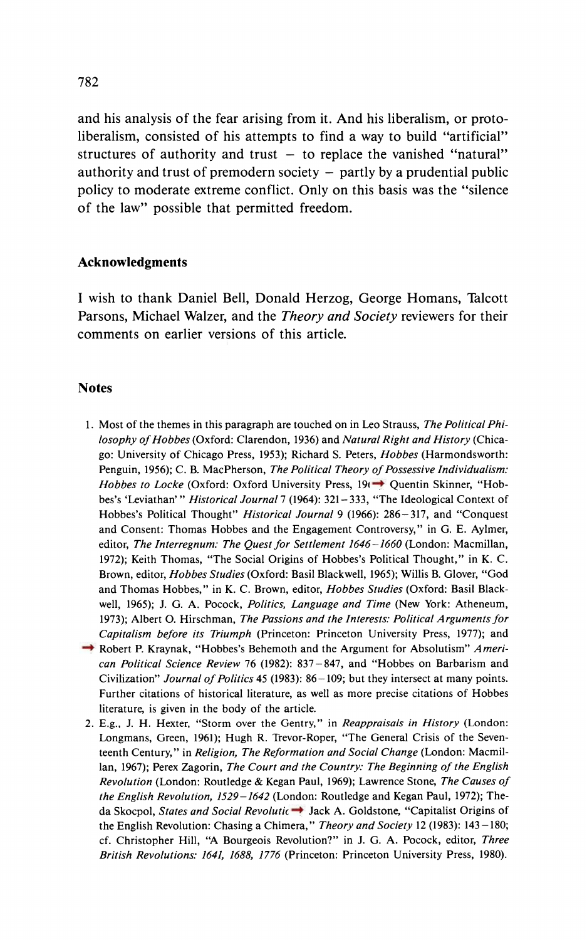**and his analysis of the fear arising from it. And his liberalism, or protoliberalism, consisted of his attempts to find a way to build "artificial"**   $structures of authority and trust - to replace the vanished "natural"$ **authority and trust of premodern society - partly by a prudential public policy to moderate extreme conflict. Only on this basis was the "silence of the law" possible that permitted freedom.** 

#### **Acknowledgments**

**I wish to thank Daniel Bell, Donald Herzog, George Homans, Talcott Parsons, Michael Walzer, and the Theory and Society reviewers for their comments on earlier versions of this article.** 

### **Notes**

- **1. Most of the themes in this paragraph are touched on in Leo Strauss, The Political Philosophy of Hobbes (Oxford: Clarendon, 1936) and Natural Right and History (Chicago: University of Chicago Press, 1953); Richard S. Peters, Hobbes (Harmondsworth: Penguin, 1956); C. B. MacPherson, The Political Theory of Possessive Individualism:**  Hobbes to Locke (Oxford: Oxford University Press, 19<sup> $\rightarrow$ </sup> Quentin Skinner, "Hob**bes's 'Leviathan"' Historical Journal 7 (1964): 321-333, "The Ideological Context of Hobbes's Political Thought" Historical Journal 9 (1966): 286-317, and "Conquest and Consent: Thomas Hobbes and the Engagement Controversy," in G. E. Aylmer, editor, The Interregnum: The Quest for Settlement 1646-1660 (London: Macmillan, 1972); Keith Thomas, "The Social Origins of Hobbes's Political Thought," in K. C. Brown, editor, Hobbes Studies (Oxford: Basil Blackwell, 1965); Willis B. Glover, "God and Thomas Hobbes," in K. C. Brown, editor, Hobbes Studies (Oxford: Basil Blackwell, 1965); J. G. A. Pocock, Politics, Language and Time (New York: Atheneum, 1973); Albert O. Hirschman, The Passions and the Interests: Political Arguments for Capitalism before its Triumph (Princeton: Princeton University Press, 1977); and**
- **→ Robert P. Kraynak, "Hobbes's Behemoth and the Argument for Absolutism"** *Ameri***can Political Science Review 76 (1982): 837-847, and "Hobbes on Barbarism and Civilization" Journal of Politics 45 (1983): 86-109; but they intersect at many points. Further citations of historical literature, as well as more precise citations of Hobbes literature, is given in the body of the article.**
- **2. E.g., J. H. Hexter, "Storm over the Gentry," in Reappraisals in History (London: Longmans, Green, 1961); Hugh R. Trevor-Roper, "The General Crisis of the Seventeenth Century," in Religion, The Reformation and Social Change (London: Macmillan, 1967); Perex Zagorin, The Court and the Country: The Beginning of the English Revolution (London: Routledge & Kegan Paul, 1969); Lawrence Stone, The Causes of the English Revolution, 1529-1642 (London: Routledge and Kegan Paul, 1972); The**da Skocpol, States and Social Revolutic  $\rightarrow$  Jack A. Goldstone, "Capitalist Origins of **the English Revolution: Chasing a Chimera," Theory and Society 12 (1983): 143-180; cf. Christopher Hill, "A Bourgeois Revolution?" in J. G. A. Pocock, editor, Three British Revolutions: 1641, 1688, 1776 (Princeton: Princeton University Press, 1980).**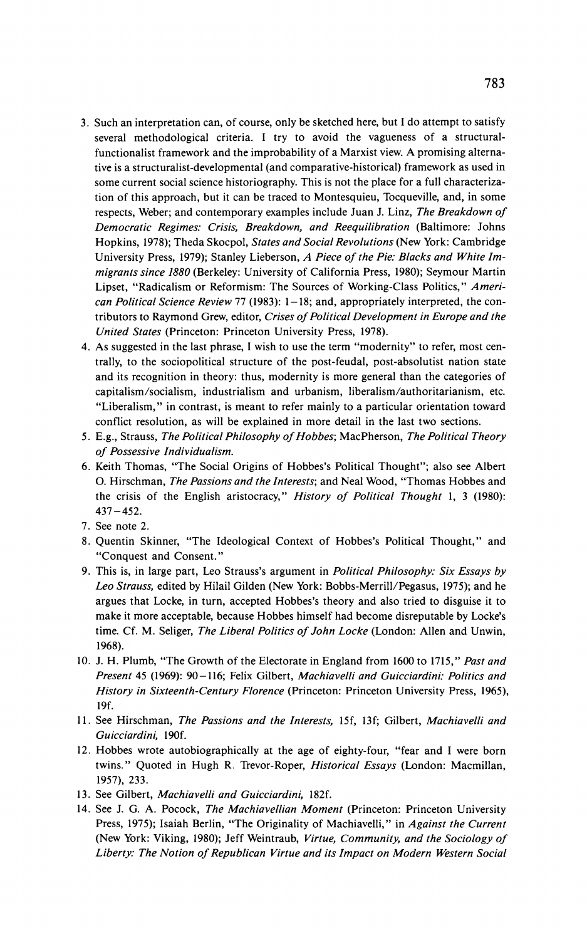- **3. Such an interpretation can, of course, only be sketched here, but I do attempt to satisfy several methodological criteria. I try to avoid the vagueness of a structuralfunctionalist framework and the improbability of a Marxist view. A promising alternative is a structuralist-developmental (and comparative-historical) framework as used in some current social science historiography. This is not the place for a full characterization of this approach, but it can be traced to Montesquieu, Tocqueville, and, in some respects, Weber; and contemporary examples include Juan J. Linz, The Breakdown of Democratic Regimes: Crisis, Breakdown, and Reequilibration (Baltimore: Johns Hopkins, 1978); Theda Skocpol, States and Social Revolutions (New York: Cambridge University Press, 1979); Stanley Lieberson, A Piece of the Pie: Blacks and White Immigrants since 1880 (Berkeley: University of California Press, 1980); Seymour Martin Lipset, "Radicalism or Reformism: The Sources of Working-Class Politics," American Political Science Review 77 (1983): 1-18; and, appropriately interpreted, the contributors to Raymond Grew, editor, Crises of Political Development in Europe and the United States (Princeton: Princeton University Press, 1978).**
- **4. As suggested in the last phrase, I wish to use the term "modernity" to refer, most centrally, to the sociopolitical structure of the post-feudal, post-absolutist nation state and its recognition in theory: thus, modernity is more general than the categories of capitalism/socialism, industrialism and urbanism, liberalism/authoritarianism, etc. "Liberalism," in contrast, is meant to refer mainly to a particular orientation toward conflict resolution, as will be explained in more detail in the last two sections.**
- **5. E.g., Strauss, The Political Philosophy of Hobbes; MacPherson, The Political Theory of Possessive Individualism.**
- **6. Keith Thomas, "The Social Origins of Hobbes's Political Thought"; also see Albert 0. Hirschman, The Passions and the Interests; and Neal Wood, "Thomas Hobbes and the crisis of the English aristocracy," History of Political Thought 1, 3 (1980): 437-452.**
- **7. See note 2.**
- **8. Quentin Skinner, "The Ideological Context of Hobbes's Political Thought," and "Conquest and Consent."**
- **9. This is, in large part, Leo Strauss's argument in Political Philosophy: Six Essays by Leo Strauss, edited by Hilail Gilden (New York: Bobbs-Merrill/Pegasus, 1975); and he argues that Locke, in turn, accepted Hobbes's theory and also tried to disguise it to make it more acceptable, because Hobbes himself had become disreputable by Locke's time. Cf. M. Seliger, The Liberal Politics of John Locke (London: Allen and Unwin, 1968).**
- **10. J. H. Plumb, "The Growth of the Electorate in England from 1600 to 1715," Past and Present 45 (1969): 90-116; Felix Gilbert, Machiavelli and Guicciardini: Politics and History in Sixteenth-Century Florence (Princeton: Princeton University Press, 1965), 19f.**
- **11. See Hirschman, The Passions and the Interests, 15f, 13f; Gilbert, Machiavelli and Guicciardini, 190f.**
- **12. Hobbes wrote autobiographically at the age of eighty-four, "fear and I were born twins." Quoted in Hugh R. Trevor-Roper, Historical Essays (London: Macmillan, 1957), 233.**
- **13. See Gilbert, Machiavelli and Guicciardini, 182f.**
- **14. See J. G. A. Pocock, The Machiavellian Moment (Princeton: Princeton University Press, 1975); Isaiah Berlin, "The Originality of Machiavelli," in Against the Current (New York: Viking, 1980); Jeff Weintraub, Virtue, Community, and the Sociology of Liberty: The Notion of Republican Virtue and its Impact on Modern Western Social**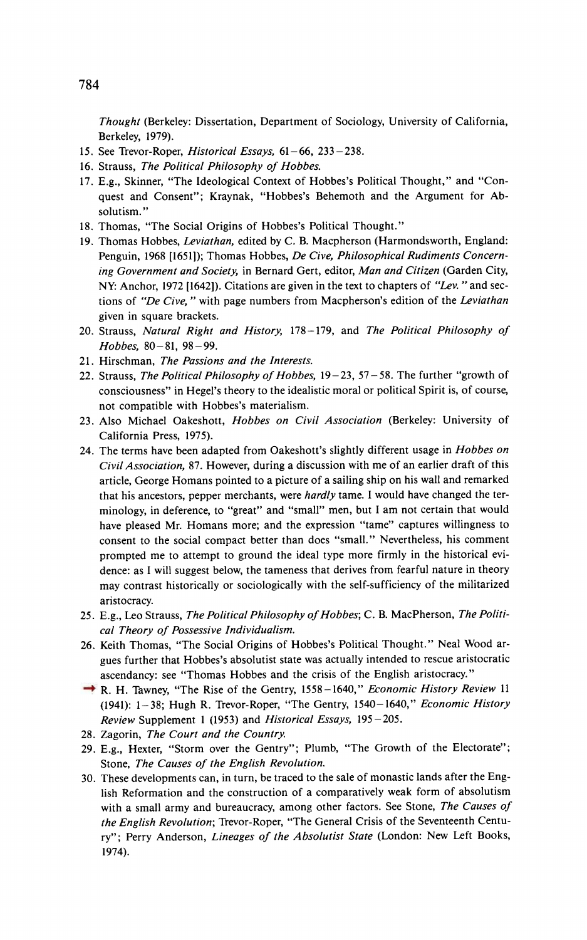**Thought (Berkeley: Dissertation, Department of Sociology, University of California, Berkeley, 1979).** 

- **15. See Trevor-Roper, Historical Essays, 61-66, 233-238.**
- **16. Strauss, The Political Philosophy of Hobbes.**
- **17. E.g., Skinner, "The Ideological Context of Hobbes's Political Thought," and "Conquest and Consent"; Kraynak, "Hobbes's Behemoth and the Argument for Absolutism."**
- **18. Thomas, "The Social Origins of Hobbes's Political Thought."**
- **19. Thomas Hobbes, Leviathan, edited by C. B. Macpherson (Harmondsworth, England: Penguin, 1968 [1651]); Thomas Hobbes, De Cive, Philosophical Rudiments Concerning Government and Society, in Bernard Gert, editor, Man and Citizen (Garden City, NY: Anchor, 1972 [16421). Citations are given in the text to chapters of "Lev. "and sections of "De Cive, " with page numbers from Macpherson's edition of the Leviathan given in square brackets.**
- **20. Strauss, Natural Right and History, 178-179, and The Political Philosophy of Hobbes, 80-81, 98-99.**
- **21. Hirschman, The Passions and the Interests.**
- **22. Strauss, The Political Philosophy of Hobbes, 19-23, 57- 58. The further "growth of consciousness" in Hegel's theory to the idealistic moral or political Spirit is, of course, not compatible with Hobbes's materialism.**
- **23. Also Michael Oakeshott, Hobbes on Civil Association (Berkeley: University of California Press, 1975).**
- **24. The terms have been adapted from Oakeshott's slightly different usage in Hobbes on Civil Association, 87. However, during a discussion with me of an earlier draft of this article, George Homans pointed to a picture of a sailing ship on his wall and remarked that his ancestors, pepper merchants, were hardly tame. I would have changed the terminology, in deference, to "great" and "small" men, but I am not certain that would have pleased Mr. Homans more; and the expression "tame" captures willingness to consent to the social compact better than does "small." Nevertheless, his comment prompted me to attempt to ground the ideal type more firmly in the historical evidence: as I will suggest below, the tameness that derives from fearful nature in theory may contrast historically or sociologically with the self-sufficiency of the militarized aristocracy.**
- **25. E.g., Leo Strauss, The Political Philosophy of Hobbes; C. B. MacPherson, The Political Theory of Possessive Individualism.**
- **26. Keith Thomas, "The Social Origins of Hobbes's Political Thought." Neal Wood argues further that Hobbes's absolutist state was actually intended to rescue aristocratic ascendancy: see "Thomas Hobbes and the crisis of the English aristocracy."**
- **27. R. H. Tawney, "The Rise of the Gentry, 1558-1640," Economic History Review 11 (1941): 1-38; Hugh R. Trevor-Roper, "The Gentry, 1540-1640," Economic History Review Supplement 1 (1953) and Historical Essays, 195-205.**
- **28. Zagorin, The Court and the Country.**
- **29. E.g., Hexter, "Storm over the Gentry"; Plumb, "The Growth of the Electorate"; Stone, The Causes of the English Revolution.**
- **30. These developments can, in turn, be traced to the sale of monastic lands after the English Reformation and the construction of a comparatively weak form of absolutism with a small army and bureaucracy, among other factors. See Stone, The Causes of the English Revolution; Trevor-Roper, "The General Crisis of the Seventeenth Century"; Perry Anderson, Lineages of the Absolutist State (London: New Left Books, 1974).**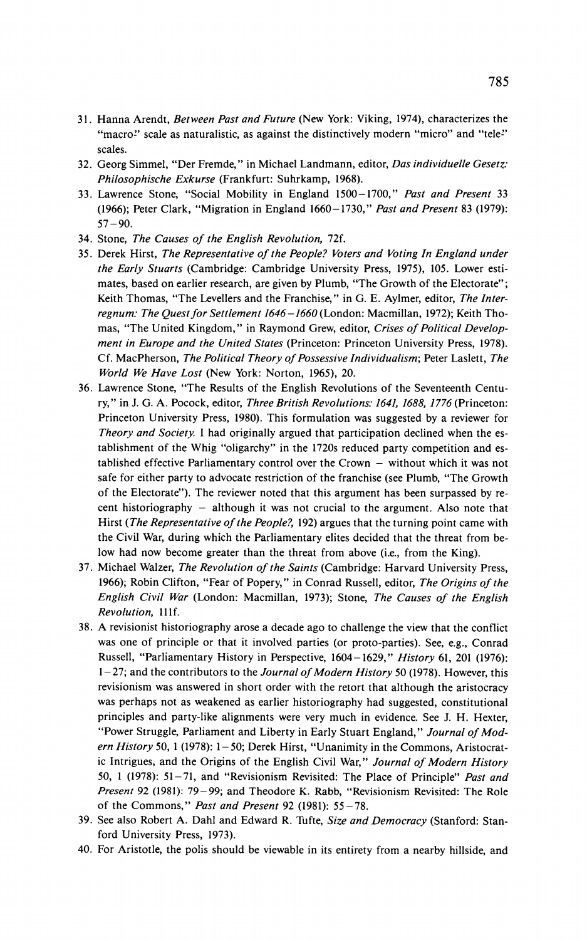- **31. Hanna Arendt, Between Past and Future (New York: Viking, 1974), characterizes the**  "macro<sup>2</sup> scale as naturalistic, as against the distinctively modern "micro" and "tele<sup>2</sup>" **scales.**
- **32. Georg Simmel, "Der Fremde," in Michael Landmann, editor, Das individuelle Gesetz: Philosophische Exkurse (Frankfurt: Suhrkamp, 1968).**
- **33. Lawrence Stone, "Social Mobility in England 1500-1700," Past and Present 33 (1966); Peter Clark, "Migration in England 1660-1730," Past and Present 83 (1979): 57-90.**
- **34. Stone, The Causes of the English Revolution, 72f.**
- **35. Derek Hirst, The Representative of the People? Voters and Voting In England under the Early Stuarts (Cambridge: Cambridge University Press, 1975), 105. Lower estimates, based on earlier research, are given by Plumb, "The Growth of the Electorate"; Keith Thomas, "The Levellers and the Franchise," in G. E. Aylmer, editor, The Interregnum: The Quest for Settlement 1646-1660 (London: Macmillan, 1972); Keith Thomas, "The United Kingdom," in Raymond Grew, editor, Crises of Political Development in Europe and the United States (Princeton: Princeton University Press, 1978). Cf. MacPherson, The Political Theory of Possessive Individualism; Peter Laslett, The World We Have Lost (New York: Norton, 1965), 20.**
- **36. Lawrence Stone, "The Results of the English Revolutions of the Seventeenth Century," in J. G. A. Pocock, editor, Three British Revolutions: 1641, 1688, 1776 (Princeton: Princeton University Press, 1980). This formulation was suggested by a reviewer for Theory and Society. I had originally argued that participation declined when the establishment of the Whig "oligarchy" in the 1720s reduced party competition and established effective Parliamentary control over the Crown - without which it was not safe for either party to advocate restriction of the franchise (see Plumb, "The Growth of the Electorate"). The reviewer noted that this argument has been surpassed by re**cent historiography - although it was not crucial to the argument. Also note that **Hirst (The Representative of the People?, 192) argues that the turning point came with the Civil War, during which the Parliamentary elites decided that the threat from below had now become greater than the threat from above (i.e., from the King).**
- **37. Michael Walzer, The Revolution of the Saints (Cambridge: Harvard University Press, 1966); Robin Clifton, "Fear of Popery," in Conrad Russell, editor, The Origins of the English Civil War (London: Macmillan, 1973); Stone, The Causes of the English Revolution, 11lf.**
- **38. A revisionist historiography arose a decade ago to challenge the view that the conflict was one of principle or that it involved parties (or proto-parties). See, e.g., Conrad Russell, "Parliamentary History in Perspective, 1604-1629," History 61, 201 (1976): 1-27; and the contributors to the Journal of Modern History 50 (1978). However, this revisionism was answered in short order with the retort that although the aristocracy was perhaps not as weakened as earlier historiography had suggested, constitutional principles and party-like alignments were very much in evidence. See J. H. Hexter, "Power Struggle, Parliament and Liberty in Early Stuart England," Journal of Modern History 50, 1 (1978): 1-50; Derek Hirst, "Unanimity in the Commons, Aristocratic Intrigues, and the Origins of the English Civil War," Journal of Modern History 50, 1 (1978): 51-71, and "Revisionism Revisited: The Place of Principle" Past and Present 92 (1981): 79-99; and Theodore K. Rabb, "Revisionism Revisited: The Role of the Commons," Past and Present 92 (1981): 55-78.**
- **39. See also Robert A. Dahl and Edward R. Tufte, Size and Democracy (Stanford: Stanford University Press, 1973).**
- **40. For Aristotle, the polis should be viewable in its entirety from a nearby hillside, and**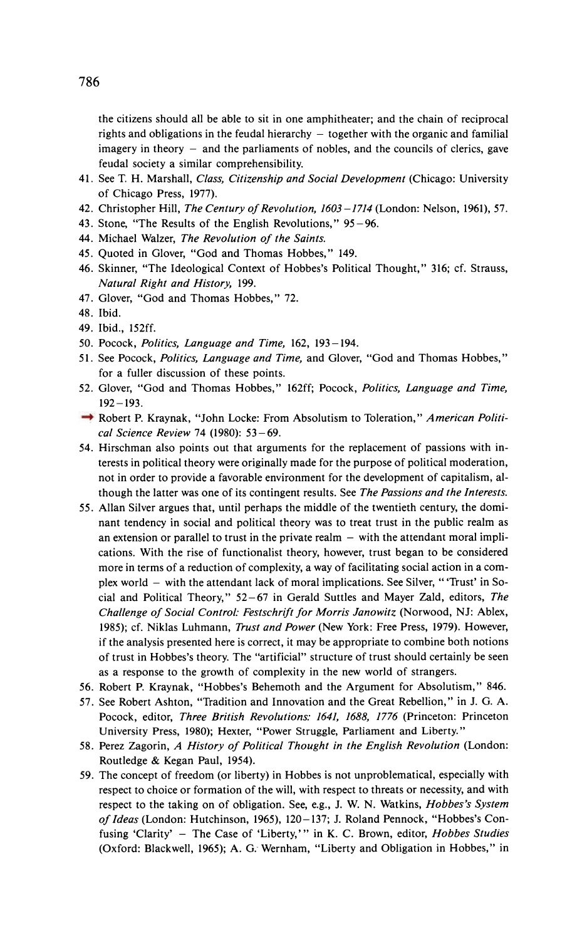**the citizens should all be able to sit in one amphitheater; and the chain of reciprocal**  rights and obligations in the feudal hierarchy - together with the organic and familial **imagery in theory - and the parliaments of nobles, and the councils of clerics, gave feudal society a similar comprehensibility.** 

- **41. See T. H. Marshall, Class, Citizenship and Social Development (Chicago: University of Chicago Press, 1977).**
- **42. Christopher Hill, The Century of Revolution, 1603-1714 (London: Nelson, 1961), 57.**
- **43. Stone, "The Results of the English Revolutions," 95-96.**
- **44. Michael Walzer, The Revolution of the Saints.**
- **45. Quoted in Glover, "God and Thomas Hobbes," 149.**
- **46. Skinner, "The Ideological Context of Hobbes's Political Thought," 316; cf. Strauss, Natural Right and History, 199.**
- **47. Glover, "God and Thomas Hobbes," 72.**
- **48. Ibid.**
- **49. Ibid., 152ff.**
- **50. Pocock, Politics, Language and Time, 162, 193-194.**
- **51. See Pocock, Politics, Language and Time, and Glover, "God and Thomas Hobbes," for a fuller discussion of these points.**
- **52. Glover, "God and Thomas Hobbes," 162ff; Pocock, Politics, Language and Time, 192-193.**
- → Robert P. Kraynak, "John Locke: From Absolutism to Toleration," American Politi**cal Science Review 74 (1980): 53-69.**
- **54. Hirschman also points out that arguments for the replacement of passions with interests in political theory were originally made for the purpose of political moderation, not in order to provide a favorable environment for the development of capitalism, although the latter was one of its contingent results. See The Passions and the Interests.**
- **55. Allan Silver argues that, until perhaps the middle of the twentieth century, the dominant tendency in social and political theory was to treat trust in the public realm as**  an extension or parallel to trust in the private realm – with the attendant moral impli**cations. With the rise of functionalist theory, however, trust began to be considered more in terms of a reduction of complexity, a way of facilitating social action in a complex world - with the attendant lack of moral implications. See Silver, "'Trust' in Social and Political Theory," 52-67 in Gerald Suttles and Mayer Zald, editors, The Challenge of Social Control: Festschrift for Morris Janowitz (Norwood, NJ: Ablex, 1985); cf. Niklas Luhmann, Trust and Power (New York: Free Press, 1979). However, if the analysis presented here is correct, it may be appropriate to combine both notions of trust in Hobbes's theory. The "artificial" structure of trust should certainly be seen as a response to the growth of complexity in the new world of strangers.**
- **56. Robert P. Kraynak, "Hobbes's Behemoth and the Argument for Absolutism," 846.**
- **57. See Robert Ashton, "Tradition and Innovation and the Great Rebellion," in J. G. A. Pocock, editor, Three British Revolutions: 1641, 1688, 1776 (Princeton: Princeton University Press, 1980); Hexter, "Power Struggle, Parliament and Liberty."**
- **58. Perez Zagorin, A History of Political Thought in the English Revolution (London: Routledge & Kegan Paul, 1954).**
- **59. The concept of freedom (or liberty) in Hobbes is not unproblematical, especially with respect to choice or formation of the will, with respect to threats or necessity, and with respect to the taking on of obligation. See, e.g., J. W. N. Watkins, Hobbes's System of Ideas (London: Hutchinson, 1965), 120-137; J. Roland Pennock, "Hobbes's Confusing 'Clarity' - The Case of 'Liberty,'" in K. C. Brown, editor, Hobbes Studies (Oxford: Blackwell, 1965); A. G.: Wernham, "Liberty and Obligation in Hobbes," in**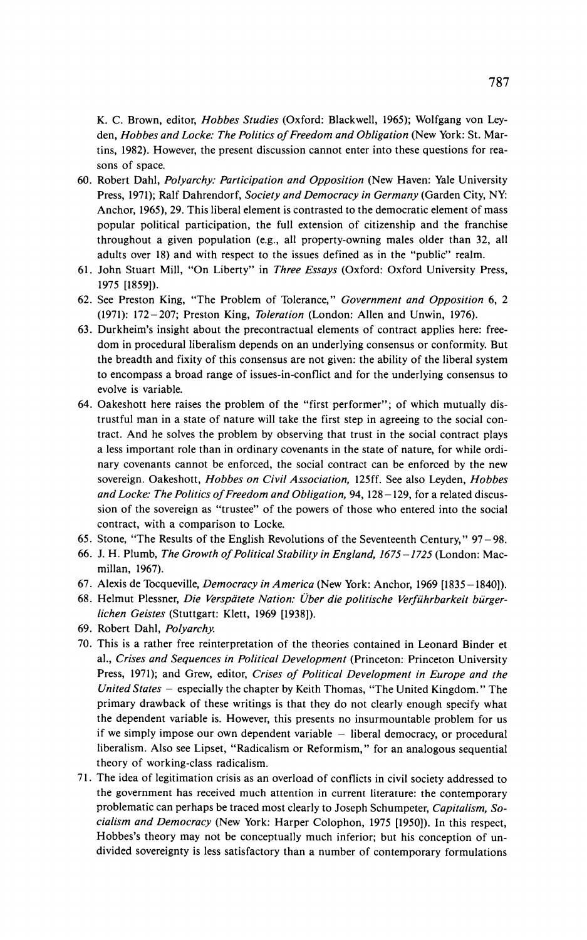**K. C. Brown, editor, Hobbes Studies (Oxford: Blackwell, 1965); Wolfgang von Leyden, Hobbes and Locke: The Politics of Freedom and Obligation (New York: St. Martins, 1982). However, the present discussion cannot enter into these questions for reasons of space.** 

- **60. Robert Dahl, Polyarchy: Participation and Opposition (New Haven: Yale University Press, 1971); Ralf Dahrendorf, Society and Democracy in Germany (Garden City, NY: Anchor, 1965), 29. This liberal element is contrasted to the democratic element of mass popular political participation, the full extension of citizenship and the franchise throughout a given population (e.g., all property-owning males older than 32, all adults over 18) and with respect to the issues defined as in the "public" realm.**
- **61. John Stuart Mill, "On Liberty" in Three Essays (Oxford: Oxford University Press, 1975 [1859]).**
- **62. See Preston King, "The Problem of Tolerance," Government and Opposition 6, 2 (1971): 172-207; Preston King, Toleration (London: Allen and Unwin, 1976).**
- **63. Durkheim's insight about the precontractual elements of contract applies here: freedom in procedural liberalism depends on an underlying consensus or conformity. But the breadth and fixity of this consensus are not given: the ability of the liberal system to encompass a broad range of issues-in-conflict and for the underlying consensus to evolve is variable.**
- **64. Oakeshott here raises the problem of the "first performer"; of which mutually distrustful man in a state of nature will take the first step in agreeing to the social contract. And he solves the problem by observing that trust in the social contract plays a less important role than in ordinary covenants in the state of nature, for while ordinary covenants cannot be enforced, the social contract can be enforced by the new sovereign. Oakeshott, Hobbes on Civil Association, 125ff. See also Leyden, Hobbes and Locke: The Politics of Freedom and Obligation, 94, 128-129, for a related discussion of the sovereign as "trustee" of the powers of those who entered into the social contract, with a comparison to Locke.**
- **65. Stone, "The Results of the English Revolutions of the Seventeenth Century," 97-98.**
- **66. J. H. Plumb, The Growth of Political Stability in England, 1675-1725 (London: Macmillan, 1967).**
- **67. Alexis de Tocqueville, Democracy in America (New York: Anchor, 1969 [1835-1840]).**
- 68. Helmut Plessner, Die Verspätete Nation: Über die politische Verführbarkeit bürger**lichen Geistes (Stuttgart: Klett, 1969 [1938]).**
- **69. Robert Dahl, Polyarchy.**
- **70. This is a rather free reinterpretation of the theories contained in Leonard Binder et al., Crises and Sequences in Political Development (Princeton: Princeton University Press, 1971); and Grew, editor, Crises of Political Development in Europe and the United States - especially the chapter by Keith Thomas, "The United Kingdom." The primary drawback of these writings is that they do not clearly enough specify what the dependent variable is. However, this presents no insurmountable problem for us**  if we simply impose our own dependent variable - liberal democracy, or procedural **liberalism. Also see Lipset, "Radicalism or Reformism," for an analogous sequential theory of working-class radicalism.**
- **71. The idea of legitimation crisis as an overload of conflicts in civil society addressed to the government has received much attention in current literature: the contemporary problematic can perhaps be traced most clearly to Joseph Schumpeter, Capitalism, Socialism and Democracy (New York: Harper Colophon, 1975 [1950]). In this respect, Hobbes's theory may not be conceptually much inferior; but his conception of undivided sovereignty is less satisfactory than a number of contemporary formulations**